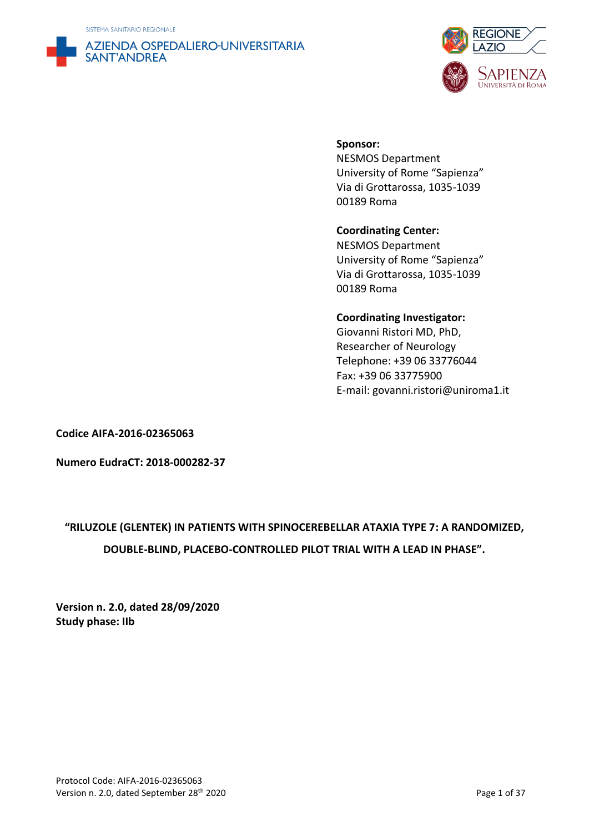SISTEMA SANITARIO REGIONALE





## **Sponsor:**

NESMOS Department University of Rome "Sapienza" Via di Grottarossa, 1035-1039 00189 Roma

## **Coordinating Center:**

NESMOS Department University of Rome "Sapienza" Via di Grottarossa, 1035-1039 00189 Roma

## **Coordinating Investigator:**

Giovanni Ristori MD, PhD, Researcher of Neurology Telephone: +39 06 33776044 Fax: +39 06 33775900 E-mail: govanni.ristori@uniroma1.it

**Codice AIFA-2016-02365063**

**Numero EudraCT: 2018-000282-37**

## **"RILUZOLE (GLENTEK) IN PATIENTS WITH SPINOCEREBELLAR ATAXIA TYPE 7: A RANDOMIZED, DOUBLE-BLIND, PLACEBO-CONTROLLED PILOT TRIAL WITH A LEAD IN PHASE".**

**Version n. 2.0, dated 28/09/2020 Study phase: IIb**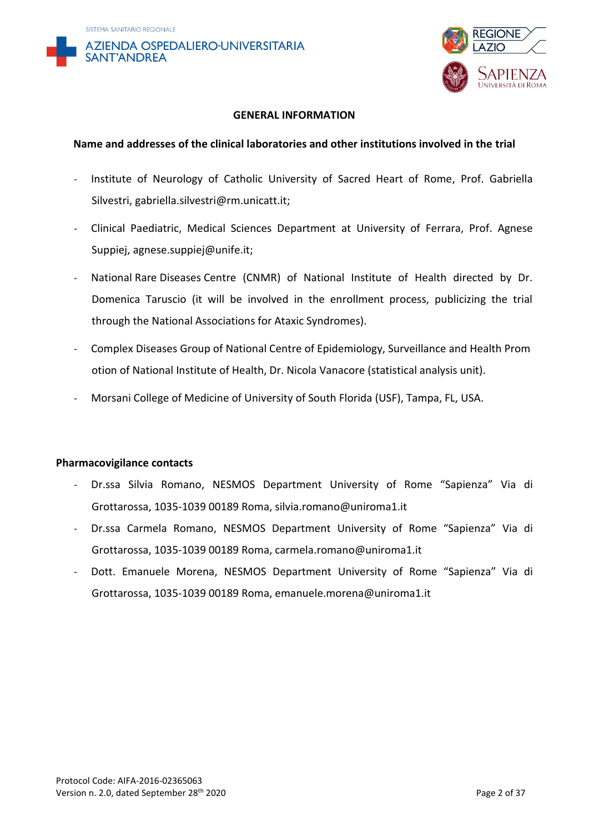



#### **GENERAL INFORMATION**

#### **Name and addresses of the clinical laboratories and other institutions involved in the trial**

- Institute of Neurology of Catholic University of Sacred Heart of Rome, Prof. Gabriella Silvestri, gabriella.silvestri@rm.unicatt.it;
- Clinical Paediatric, Medical Sciences Department at University of Ferrara, Prof. Agnese Suppiej, agnese.suppiej@unife.it;
- National Rare Diseases Centre (CNMR) of National Institute of Health directed by Dr. Domenica Taruscio (it will be involved in the enrollment process, publicizing the trial through the National Associations for Ataxic Syndromes).
- Complex Diseases Group of National Centre of Epidemiology, Surveillance and Health Prom otion of National Institute of Health, Dr. Nicola Vanacore (statistical analysis unit).
- Morsani College of Medicine of University of South Florida (USF), Tampa, FL, USA.

#### **Pharmacovigilance contacts**

- Dr.ssa Silvia Romano, NESMOS Department University of Rome "Sapienza" Via di Grottarossa, 1035-1039 00189 Roma, silvia.romano@uniroma1.it
- Dr.ssa Carmela Romano, NESMOS Department University of Rome "Sapienza" Via di Grottarossa, 1035-1039 00189 Roma, carmela.romano@uniroma1.it
- Dott. Emanuele Morena, NESMOS Department University of Rome "Sapienza" Via di Grottarossa, 1035-1039 00189 Roma, emanuele.morena@uniroma1.it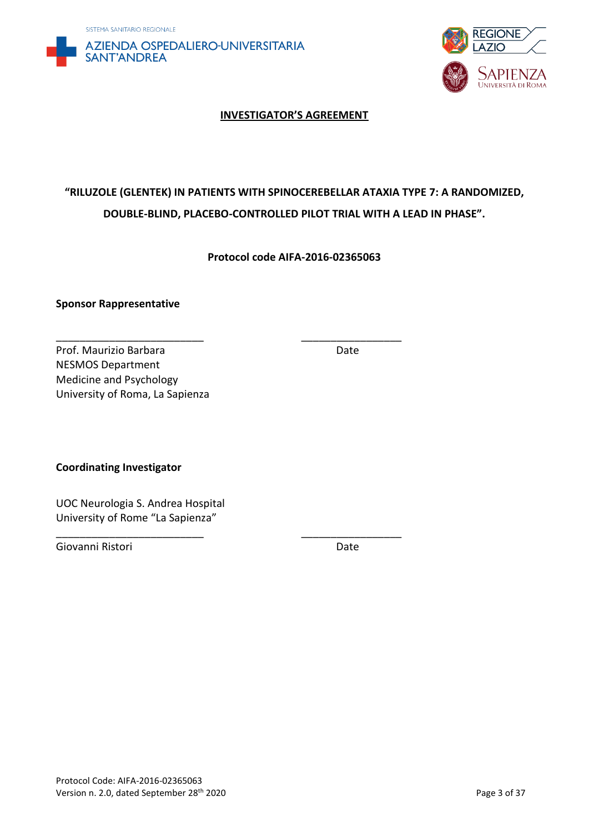



#### **INVESTIGATOR'S AGREEMENT**

## **"RILUZOLE (GLENTEK) IN PATIENTS WITH SPINOCEREBELLAR ATAXIA TYPE 7: A RANDOMIZED, DOUBLE-BLIND, PLACEBO-CONTROLLED PILOT TRIAL WITH A LEAD IN PHASE".**

**Protocol code AIFA-2016-02365063**

\_\_\_\_\_\_\_\_\_\_\_\_\_\_\_\_\_\_\_\_\_\_\_\_\_ \_\_\_\_\_\_\_\_\_\_\_\_\_\_\_\_\_

\_\_\_\_\_\_\_\_\_\_\_\_\_\_\_\_\_\_\_\_\_\_\_\_\_ \_\_\_\_\_\_\_\_\_\_\_\_\_\_\_\_\_

#### **Sponsor Rappresentative**

Prof. Maurizio Barbara **Date** Date NESMOS Department Medicine and Psychology University of Roma, La Sapienza

**Coordinating Investigator**

UOC Neurologia S. Andrea Hospital University of Rome "La Sapienza"

Giovanni Ristori Date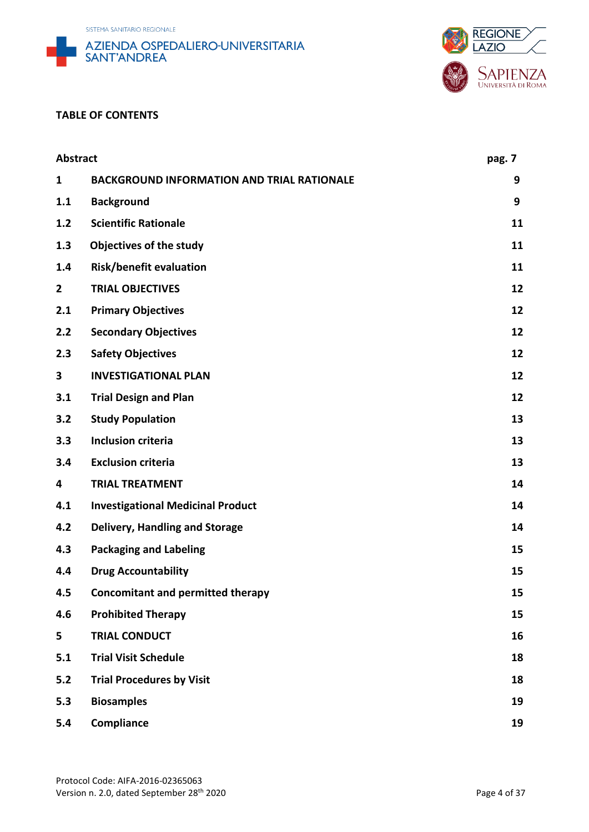





#### **TABLE OF CONTENTS**

| <b>Abstract</b> |                                                   | pag. 7 |
|-----------------|---------------------------------------------------|--------|
| $\mathbf{1}$    | <b>BACKGROUND INFORMATION AND TRIAL RATIONALE</b> | 9      |
| 1.1             | <b>Background</b>                                 | 9      |
| 1.2             | <b>Scientific Rationale</b>                       | 11     |
| 1.3             | <b>Objectives of the study</b>                    | 11     |
| 1.4             | <b>Risk/benefit evaluation</b>                    | 11     |
| $\overline{2}$  | <b>TRIAL OBJECTIVES</b>                           | 12     |
| 2.1             | <b>Primary Objectives</b>                         | 12     |
| 2.2             | <b>Secondary Objectives</b>                       | 12     |
| 2.3             | <b>Safety Objectives</b>                          | 12     |
| 3               | <b>INVESTIGATIONAL PLAN</b>                       | 12     |
| 3.1             | <b>Trial Design and Plan</b>                      | 12     |
| 3.2             | <b>Study Population</b>                           | 13     |
| 3.3             | <b>Inclusion criteria</b>                         | 13     |
| 3.4             | <b>Exclusion criteria</b>                         | 13     |
| 4               | <b>TRIAL TREATMENT</b>                            | 14     |
| 4.1             | <b>Investigational Medicinal Product</b>          | 14     |
| 4.2             | <b>Delivery, Handling and Storage</b>             | 14     |
| 4.3             | <b>Packaging and Labeling</b>                     | 15     |
| 4.4             | <b>Drug Accountability</b>                        | 15     |
| 4.5             | <b>Concomitant and permitted therapy</b>          | 15     |
| 4.6             | <b>Prohibited Therapy</b>                         | 15     |
| 5               | <b>TRIAL CONDUCT</b>                              | 16     |
| 5.1             | <b>Trial Visit Schedule</b>                       | 18     |
| 5.2             | <b>Trial Procedures by Visit</b>                  | 18     |
| 5.3             | <b>Biosamples</b>                                 | 19     |
| 5.4             | Compliance                                        | 19     |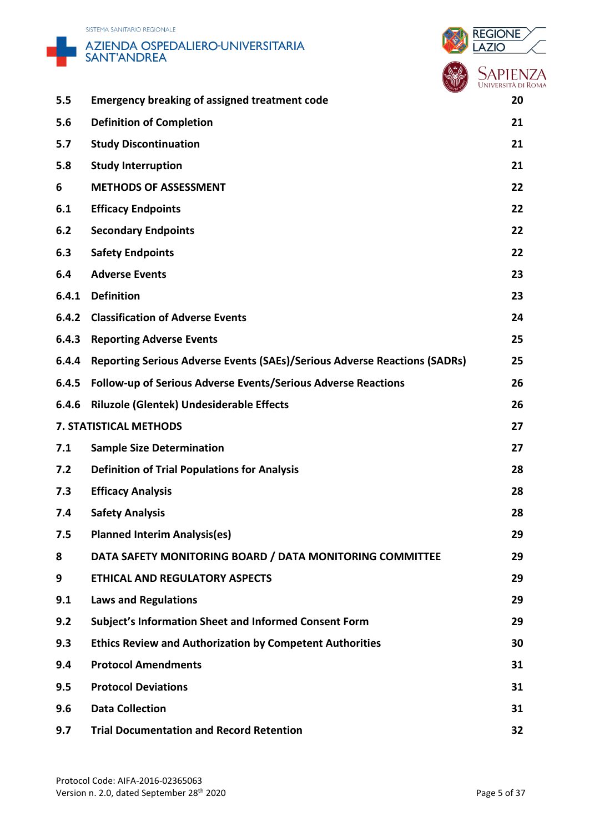





|       | OIVM <sup>N</sup>                                                                |    |
|-------|----------------------------------------------------------------------------------|----|
| 5.5   | <b>Emergency breaking of assigned treatment code</b>                             | 20 |
| 5.6   | <b>Definition of Completion</b>                                                  | 21 |
| 5.7   | <b>Study Discontinuation</b>                                                     | 21 |
| 5.8   | <b>Study Interruption</b>                                                        | 21 |
| 6     | <b>METHODS OF ASSESSMENT</b>                                                     | 22 |
| 6.1   | <b>Efficacy Endpoints</b>                                                        | 22 |
| 6.2   | <b>Secondary Endpoints</b>                                                       | 22 |
| 6.3   | <b>Safety Endpoints</b>                                                          | 22 |
| 6.4   | <b>Adverse Events</b>                                                            | 23 |
| 6.4.1 | <b>Definition</b>                                                                | 23 |
| 6.4.2 | <b>Classification of Adverse Events</b>                                          | 24 |
| 6.4.3 | <b>Reporting Adverse Events</b>                                                  | 25 |
| 6.4.4 | <b>Reporting Serious Adverse Events (SAEs)/Serious Adverse Reactions (SADRs)</b> | 25 |
| 6.4.5 | Follow-up of Serious Adverse Events/Serious Adverse Reactions                    | 26 |
| 6.4.6 | <b>Riluzole (Glentek) Undesiderable Effects</b>                                  | 26 |
|       | 7. STATISTICAL METHODS                                                           | 27 |
| 7.1   | <b>Sample Size Determination</b>                                                 | 27 |
| 7.2   | <b>Definition of Trial Populations for Analysis</b>                              | 28 |
| 7.3   | <b>Efficacy Analysis</b>                                                         | 28 |
| 7.4   | <b>Safety Analysis</b>                                                           | 28 |
| 7.5   | <b>Planned Interim Analysis(es)</b>                                              | 29 |
| 8     | DATA SAFETY MONITORING BOARD / DATA MONITORING COMMITTEE                         | 29 |
| 9     | <b>ETHICAL AND REGULATORY ASPECTS</b>                                            | 29 |
| 9.1   | <b>Laws and Regulations</b>                                                      | 29 |
| 9.2   | <b>Subject's Information Sheet and Informed Consent Form</b>                     | 29 |
| 9.3   | <b>Ethics Review and Authorization by Competent Authorities</b>                  | 30 |
| 9.4   | <b>Protocol Amendments</b>                                                       | 31 |
| 9.5   | <b>Protocol Deviations</b>                                                       | 31 |
| 9.6   | <b>Data Collection</b>                                                           | 31 |
| 9.7   | <b>Trial Documentation and Record Retention</b>                                  | 32 |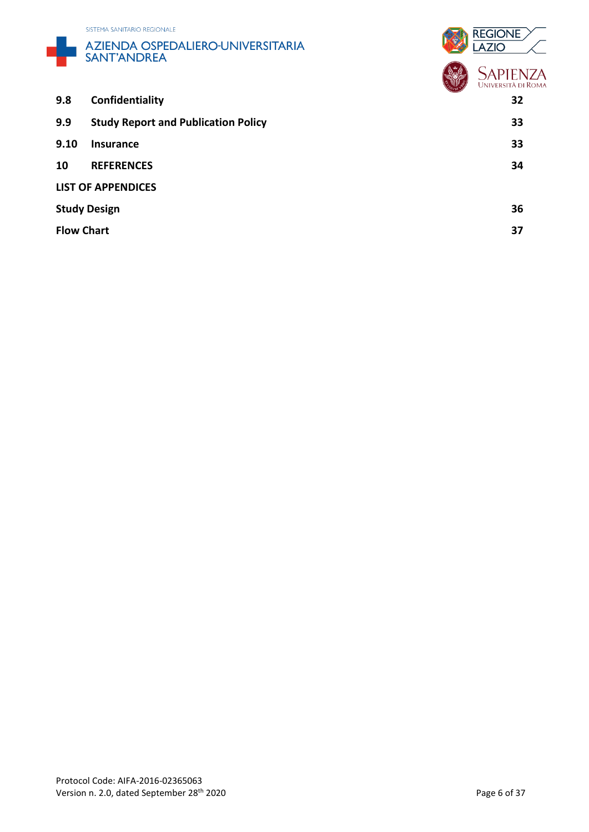



|                   |                                            | $U$ ii iliv $U$<br><b>UNIVERSITÀ DI ROM</b> |
|-------------------|--------------------------------------------|---------------------------------------------|
| 9.8               | Confidentiality                            | 32                                          |
| 9.9               | <b>Study Report and Publication Policy</b> | 33                                          |
| 9.10              | <b>Insurance</b>                           | 33                                          |
| 10                | <b>REFERENCES</b>                          | 34                                          |
|                   | <b>LIST OF APPENDICES</b>                  |                                             |
|                   | <b>Study Design</b>                        | 36                                          |
| <b>Flow Chart</b> |                                            | 37                                          |
|                   |                                            |                                             |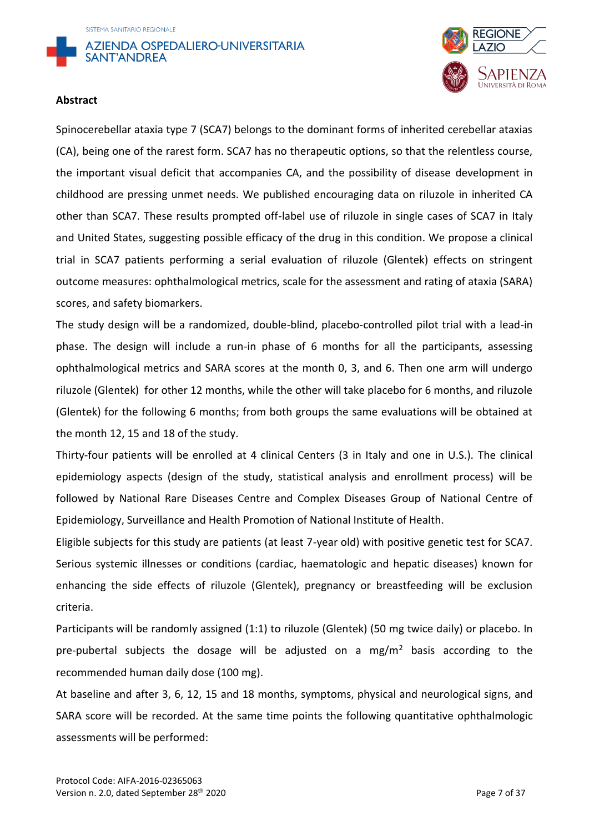



#### **Abstract**

Spinocerebellar ataxia type 7 (SCA7) belongs to the dominant forms of inherited cerebellar ataxias (CA), being one of the rarest form. SCA7 has no therapeutic options, so that the relentless course, the important visual deficit that accompanies CA, and the possibility of disease development in childhood are pressing unmet needs. We published encouraging data on riluzole in inherited CA other than SCA7. These results prompted off-label use of riluzole in single cases of SCA7 in Italy and United States, suggesting possible efficacy of the drug in this condition. We propose a clinical trial in SCA7 patients performing a serial evaluation of riluzole (Glentek) effects on stringent outcome measures: ophthalmological metrics, scale for the assessment and rating of ataxia (SARA) scores, and safety biomarkers.

The study design will be a randomized, double-blind, placebo-controlled pilot trial with a lead-in phase. The design will include a run-in phase of 6 months for all the participants, assessing ophthalmological metrics and SARA scores at the month 0, 3, and 6. Then one arm will undergo riluzole (Glentek) for other 12 months, while the other will take placebo for 6 months, and riluzole (Glentek) for the following 6 months; from both groups the same evaluations will be obtained at the month 12, 15 and 18 of the study.

Thirty-four patients will be enrolled at 4 clinical Centers (3 in Italy and one in U.S.). The clinical epidemiology aspects (design of the study, statistical analysis and enrollment process) will be followed by National Rare Diseases Centre and Complex Diseases Group of National Centre of Epidemiology, Surveillance and Health Promotion of National Institute of Health.

Eligible subjects for this study are patients (at least 7-year old) with positive genetic test for SCA7. Serious systemic illnesses or conditions (cardiac, haematologic and hepatic diseases) known for enhancing the side effects of riluzole (Glentek), pregnancy or breastfeeding will be exclusion criteria.

Participants will be randomly assigned (1:1) to riluzole (Glentek) (50 mg twice daily) or placebo. In pre-pubertal subjects the dosage will be adjusted on a mg/m<sup>2</sup> basis according to the recommended human daily dose (100 mg).

At baseline and after 3, 6, 12, 15 and 18 months, symptoms, physical and neurological signs, and SARA score will be recorded. At the same time points the following quantitative ophthalmologic assessments will be performed: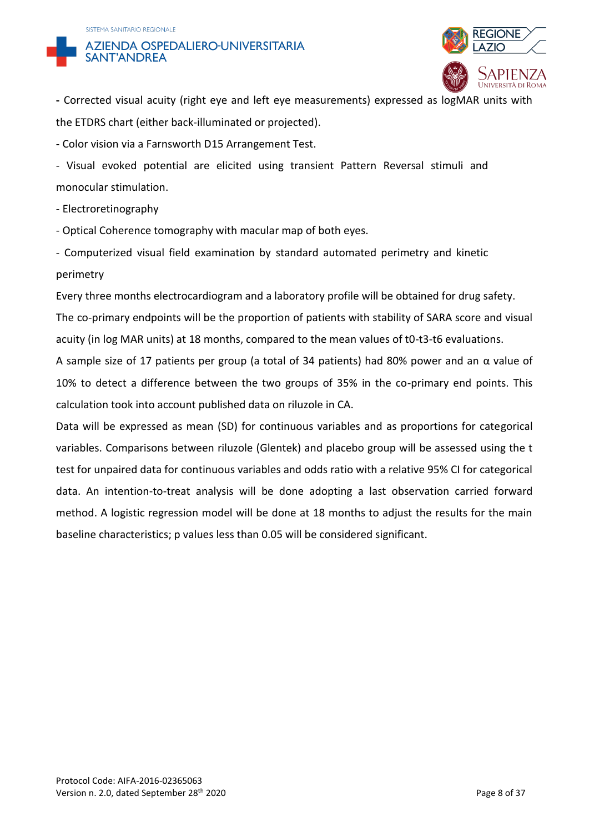#### SISTEMA SANITARIO REGIONALE





**-** Corrected visual acuity (right eye and left eye measurements) expressed as logMAR units with the ETDRS chart (either back-illuminated or projected).

- Color vision via a Farnsworth D15 Arrangement Test.

- Visual evoked potential are elicited using transient Pattern Reversal stimuli and monocular stimulation.

- Electroretinography

- Optical Coherence tomography with macular map of both eyes.

- Computerized visual field examination by standard automated perimetry and kinetic perimetry

Every three months electrocardiogram and a laboratory profile will be obtained for drug safety.

The co-primary endpoints will be the proportion of patients with stability of SARA score and visual acuity (in log MAR units) at 18 months, compared to the mean values of t0-t3-t6 evaluations.

A sample size of 17 patients per group (a total of 34 patients) had 80% power and an  $\alpha$  value of 10% to detect a difference between the two groups of 35% in the co-primary end points. This calculation took into account published data on riluzole in CA.

Data will be expressed as mean (SD) for continuous variables and as proportions for categorical variables. Comparisons between riluzole (Glentek) and placebo group will be assessed using the t test for unpaired data for continuous variables and odds ratio with a relative 95% CI for categorical data. An intention-to-treat analysis will be done adopting a last observation carried forward method. A logistic regression model will be done at 18 months to adjust the results for the main baseline characteristics; p values less than 0.05 will be considered significant.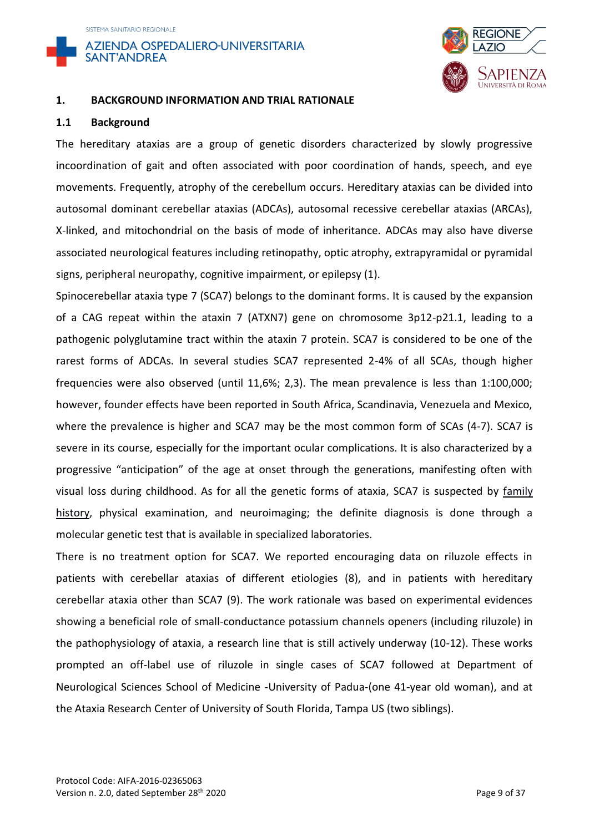



#### **1. BACKGROUND INFORMATION AND TRIAL RATIONALE**

#### **1.1 Background**

The hereditary ataxias are a group of genetic disorders characterized by slowly progressive incoordination of gait and often associated with poor coordination of hands, speech, and eye movements. Frequently, atrophy of the cerebellum occurs. Hereditary ataxias can be divided into autosomal dominant cerebellar ataxias (ADCAs), autosomal recessive cerebellar ataxias (ARCAs), X-linked, and mitochondrial on the basis of mode of inheritance. ADCAs may also have diverse associated neurological features including retinopathy, optic atrophy, extrapyramidal or pyramidal signs, peripheral neuropathy, cognitive impairment, or epilepsy (1).

Spinocerebellar ataxia type 7 (SCA7) belongs to the dominant forms. It is caused by the expansion of a CAG repeat within the ataxin 7 (ATXN7) gene on chromosome 3p12-p21.1, leading to a pathogenic polyglutamine tract within the ataxin 7 protein. SCA7 is considered to be one of the rarest forms of ADCAs. In several studies SCA7 represented 2-4% of all SCAs, though higher frequencies were also observed (until 11,6%; 2,3). The mean prevalence is less than 1:100,000; however, founder effects have been reported in South Africa, Scandinavia, Venezuela and Mexico, where the prevalence is higher and SCA7 may be the most common form of SCAs (4-7). SCA7 is severe in its course, especially for the important ocular complications. It is also characterized by a progressive "anticipation" of the age at onset through the generations, manifesting often with visual loss during childhood. As for all the genetic forms of ataxia, SCA7 is suspected by [family](http://www.geneclinics.org/servlet/access?qry=58&db=genestar&fcn=term>report2=true&id=8888890&key=VOyj63F8b2DYI&format=frame)  [history,](http://www.geneclinics.org/servlet/access?qry=58&db=genestar&fcn=term>report2=true&id=8888890&key=VOyj63F8b2DYI&format=frame) physical examination, and neuroimaging; the definite diagnosis is done through a molecular genetic test that is available in specialized laboratories.

There is no treatment option for SCA7. We reported encouraging data on riluzole effects in patients with cerebellar ataxias of different etiologies (8), and in patients with hereditary cerebellar ataxia other than SCA7 (9). The work rationale was based on experimental evidences showing a beneficial role of small-conductance potassium channels openers (including riluzole) in the pathophysiology of ataxia, a research line that is still actively underway (10-12). These works prompted an off-label use of riluzole in single cases of SCA7 followed at Department of Neurological Sciences School of Medicine -University of Padua-(one 41-year old woman), and at the Ataxia Research Center of University of South Florida, Tampa US (two siblings).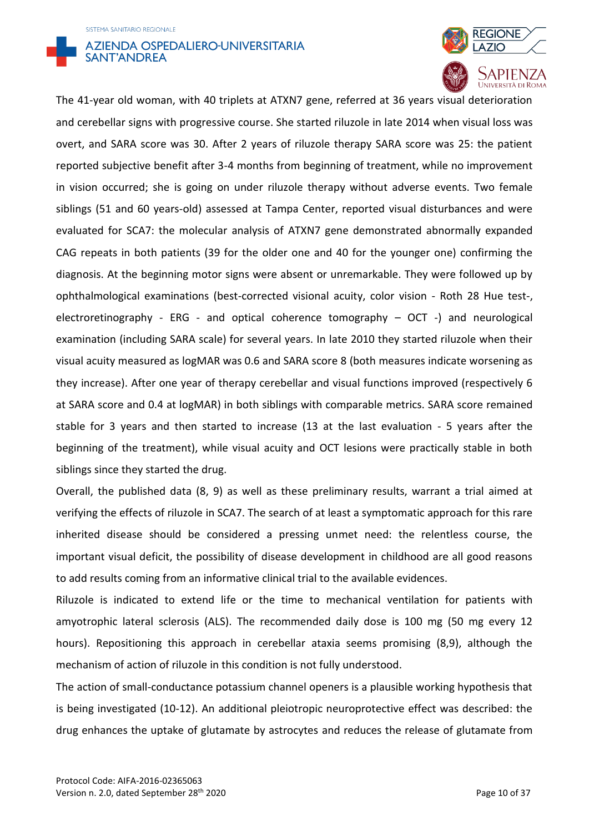### SISTEMA SANITARIO REGIONALE **AZIENDA OSPEDALIERO-UNIVERSITARIA** SANT'ANDREA



The 41-year old woman, with 40 triplets at ATXN7 gene, referred at 36 years visual deterioration and cerebellar signs with progressive course. She started riluzole in late 2014 when visual loss was overt, and SARA score was 30. After 2 years of riluzole therapy SARA score was 25: the patient reported subjective benefit after 3-4 months from beginning of treatment, while no improvement in vision occurred; she is going on under riluzole therapy without adverse events. Two female siblings (51 and 60 years-old) assessed at Tampa Center, reported visual disturbances and were evaluated for SCA7: the molecular analysis of ATXN7 gene demonstrated abnormally expanded CAG repeats in both patients (39 for the older one and 40 for the younger one) confirming the diagnosis. At the beginning motor signs were absent or unremarkable. They were followed up by ophthalmological examinations (best-corrected visional acuity, color vision - Roth 28 Hue test-, electroretinography - ERG - and optical coherence tomography – OCT -) and neurological examination (including SARA scale) for several years. In late 2010 they started riluzole when their visual acuity measured as logMAR was 0.6 and SARA score 8 (both measures indicate worsening as they increase). After one year of therapy cerebellar and visual functions improved (respectively 6 at SARA score and 0.4 at logMAR) in both siblings with comparable metrics. SARA score remained stable for 3 years and then started to increase (13 at the last evaluation - 5 years after the beginning of the treatment), while visual acuity and OCT lesions were practically stable in both siblings since they started the drug.

Overall, the published data (8, 9) as well as these preliminary results, warrant a trial aimed at verifying the effects of riluzole in SCA7. The search of at least a symptomatic approach for this rare inherited disease should be considered a pressing unmet need: the relentless course, the important visual deficit, the possibility of disease development in childhood are all good reasons to add results coming from an informative clinical trial to the available evidences.

Riluzole is indicated to extend life or the time to mechanical ventilation for patients with amyotrophic lateral sclerosis (ALS). The recommended daily dose is 100 mg (50 mg every 12 hours). Repositioning this approach in cerebellar ataxia seems promising (8,9), although the mechanism of action of riluzole in this condition is not fully understood.

The action of small-conductance potassium channel openers is a plausible working hypothesis that is being investigated (10-12). An additional pleiotropic neuroprotective effect was described: the drug enhances the uptake of glutamate by astrocytes and reduces the release of glutamate from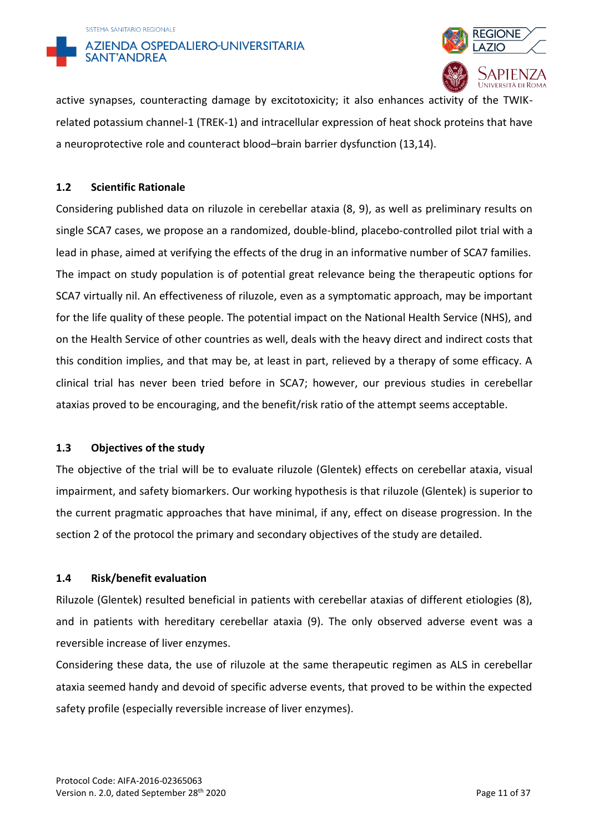



active synapses, counteracting damage by excitotoxicity; it also enhances activity of the TWIKrelated potassium channel-1 (TREK-1) and intracellular expression of heat shock proteins that have a neuroprotective role and counteract blood–brain barrier dysfunction (13,14).

### **1.2 Scientific Rationale**

Considering published data on riluzole in cerebellar ataxia (8, 9), as well as preliminary results on single SCA7 cases, we propose an a randomized, double-blind, placebo-controlled pilot trial with a lead in phase, aimed at verifying the effects of the drug in an informative number of SCA7 families. The impact on study population is of potential great relevance being the therapeutic options for SCA7 virtually nil. An effectiveness of riluzole, even as a symptomatic approach, may be important for the life quality of these people. The potential impact on the National Health Service (NHS), and on the Health Service of other countries as well, deals with the heavy direct and indirect costs that this condition implies, and that may be, at least in part, relieved by a therapy of some efficacy. A clinical trial has never been tried before in SCA7; however, our previous studies in cerebellar ataxias proved to be encouraging, and the benefit/risk ratio of the attempt seems acceptable.

#### **1.3 Objectives of the study**

The objective of the trial will be to evaluate riluzole (Glentek) effects on cerebellar ataxia, visual impairment, and safety biomarkers. Our working hypothesis is that riluzole (Glentek) is superior to the current pragmatic approaches that have minimal, if any, effect on disease progression. In the section 2 of the protocol the primary and secondary objectives of the study are detailed.

## **1.4 Risk/benefit evaluation**

Riluzole (Glentek) resulted beneficial in patients with cerebellar ataxias of different etiologies (8), and in patients with hereditary cerebellar ataxia (9). The only observed adverse event was a reversible increase of liver enzymes.

Considering these data, the use of riluzole at the same therapeutic regimen as ALS in cerebellar ataxia seemed handy and devoid of specific adverse events, that proved to be within the expected safety profile (especially reversible increase of liver enzymes).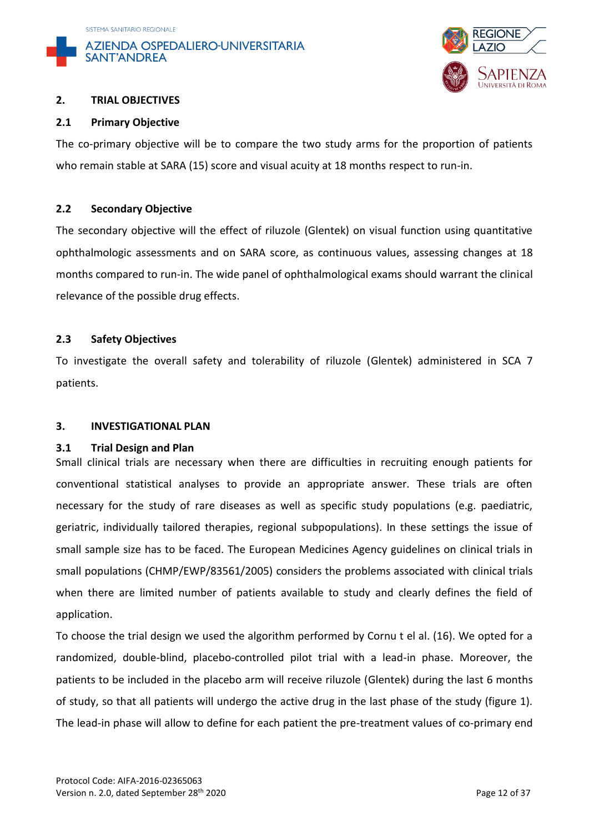



#### **2. TRIAL OBJECTIVES**

#### **2.1 Primary Objective**

The co-primary objective will be to compare the two study arms for the proportion of patients who remain stable at SARA (15) score and visual acuity at 18 months respect to run-in.

## **2.2 Secondary Objective**

The secondary objective will the effect of riluzole (Glentek) on visual function using quantitative ophthalmologic assessments and on SARA score, as continuous values, assessing changes at 18 months compared to run-in. The wide panel of ophthalmological exams should warrant the clinical relevance of the possible drug effects.

## **2.3 Safety Objectives**

To investigate the overall safety and tolerability of riluzole (Glentek) administered in SCA 7 patients.

#### **3. INVESTIGATIONAL PLAN**

#### **3.1 Trial Design and Plan**

Small clinical trials are necessary when there are difficulties in recruiting enough patients for conventional statistical analyses to provide an appropriate answer. These trials are often necessary for the study of rare diseases as well as specific study populations (e.g. paediatric, geriatric, individually tailored therapies, regional subpopulations). In these settings the issue of small sample size has to be faced. The European Medicines Agency guidelines on clinical trials in small populations (CHMP/EWP/83561/2005) considers the problems associated with clinical trials when there are limited number of patients available to study and clearly defines the field of application.

To choose the trial design we used the algorithm performed by Cornu t el al. (16). We opted for a randomized, double-blind, placebo-controlled pilot trial with a lead-in phase. Moreover, the patients to be included in the placebo arm will receive riluzole (Glentek) during the last 6 months of study, so that all patients will undergo the active drug in the last phase of the study (figure 1). The lead-in phase will allow to define for each patient the pre-treatment values of co-primary end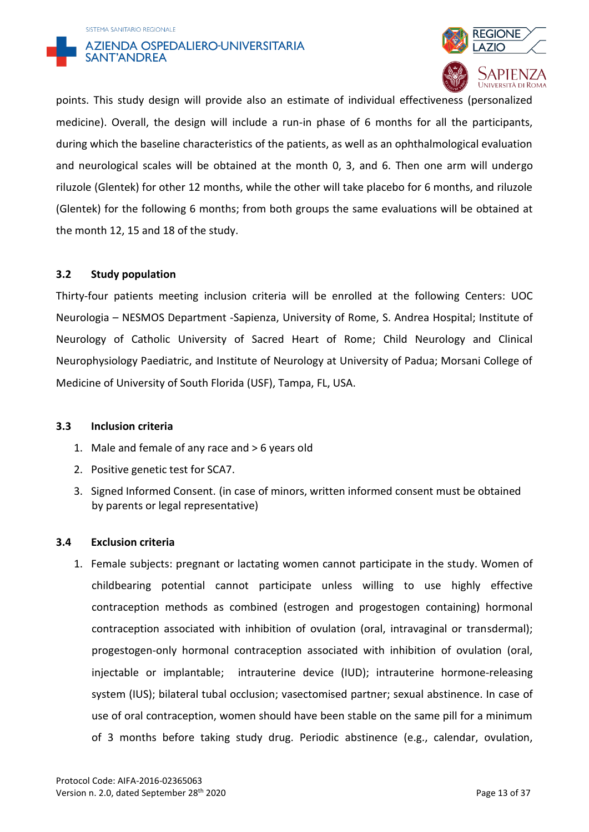



points. This study design will provide also an estimate of individual effectiveness (personalized medicine). Overall, the design will include a run-in phase of 6 months for all the participants, during which the baseline characteristics of the patients, as well as an ophthalmological evaluation and neurological scales will be obtained at the month 0, 3, and 6. Then one arm will undergo riluzole (Glentek) for other 12 months, while the other will take placebo for 6 months, and riluzole (Glentek) for the following 6 months; from both groups the same evaluations will be obtained at the month 12, 15 and 18 of the study.

#### **3.2 Study population**

Thirty-four patients meeting inclusion criteria will be enrolled at the following Centers: UOC Neurologia – NESMOS Department -Sapienza, University of Rome, S. Andrea Hospital; Institute of Neurology of Catholic University of Sacred Heart of Rome; Child Neurology and Clinical Neurophysiology Paediatric, and Institute of Neurology at University of Padua; Morsani College of Medicine of University of South Florida (USF), Tampa, FL, USA.

#### **3.3 Inclusion criteria**

- 1. Male and female of any race and > 6 years old
- 2. Positive genetic test for SCA7.
- 3. Signed Informed Consent. (in case of minors, written informed consent must be obtained by parents or legal representative)

#### **3.4 Exclusion criteria**

1. Female subjects: pregnant or lactating women cannot participate in the study. Women of childbearing potential cannot participate unless willing to use highly effective contraception methods as combined (estrogen and progestogen containing) hormonal contraception associated with inhibition of ovulation (oral, intravaginal or transdermal); progestogen-only hormonal contraception associated with inhibition of ovulation (oral, injectable or implantable; intrauterine device (IUD); intrauterine hormone-releasing system (IUS); bilateral tubal occlusion; vasectomised partner; sexual abstinence. In case of use of oral contraception, women should have been stable on the same pill for a minimum of 3 months before taking study drug. Periodic abstinence (e.g., calendar, ovulation,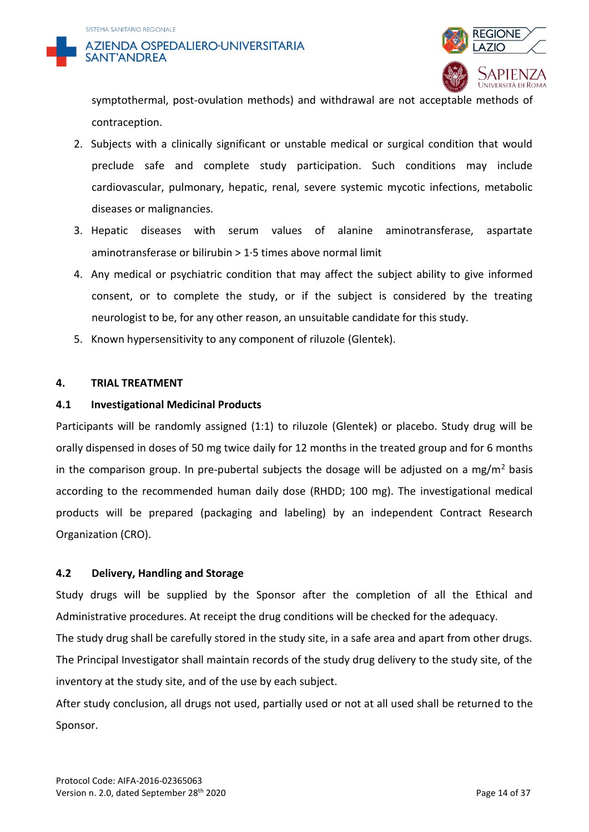

symptothermal, post-ovulation methods) and withdrawal are not acceptable methods of contraception.

- 2. Subjects with a clinically significant or unstable medical or surgical condition that would preclude safe and complete study participation. Such conditions may include cardiovascular, pulmonary, hepatic, renal, severe systemic mycotic infections, metabolic diseases or malignancies.
- 3. Hepatic diseases with serum values of alanine aminotransferase, aspartate aminotransferase or bilirubin > 1·5 times above normal limit
- 4. Any medical or psychiatric condition that may affect the subject ability to give informed consent, or to complete the study, or if the subject is considered by the treating neurologist to be, for any other reason, an unsuitable candidate for this study.
- 5. Known hypersensitivity to any component of riluzole (Glentek).

#### **4. TRIAL TREATMENT**

## **4.1 Investigational Medicinal Products**

Participants will be randomly assigned (1:1) to riluzole (Glentek) or placebo. Study drug will be orally dispensed in doses of 50 mg twice daily for 12 months in the treated group and for 6 months in the comparison group. In pre-pubertal subjects the dosage will be adjusted on a mg/m<sup>2</sup> basis according to the recommended human daily dose (RHDD; 100 mg). The investigational medical products will be prepared (packaging and labeling) by an independent Contract Research Organization (CRO).

## **4.2 Delivery, Handling and Storage**

Study drugs will be supplied by the Sponsor after the completion of all the Ethical and Administrative procedures. At receipt the drug conditions will be checked for the adequacy.

The study drug shall be carefully stored in the study site, in a safe area and apart from other drugs. The Principal Investigator shall maintain records of the study drug delivery to the study site, of the inventory at the study site, and of the use by each subject.

After study conclusion, all drugs not used, partially used or not at all used shall be returned to the Sponsor.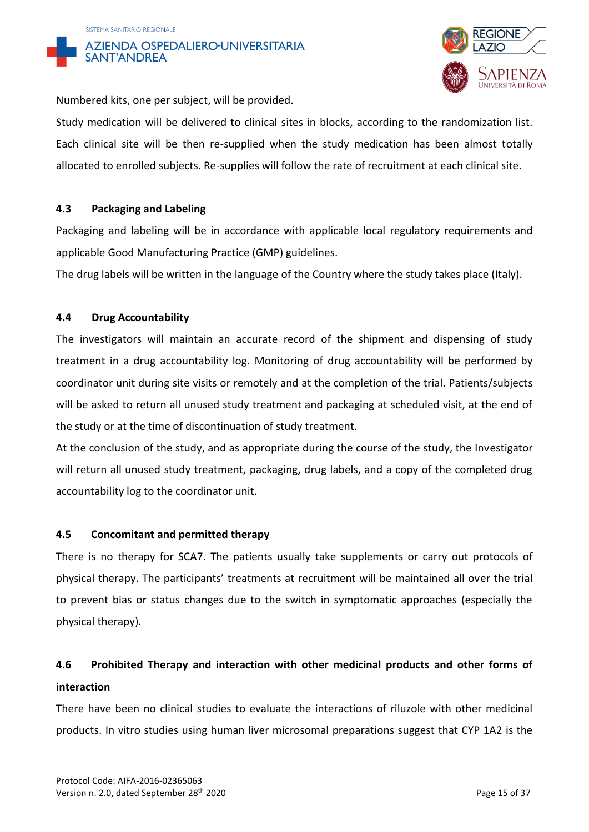



Numbered kits, one per subject, will be provided.

Study medication will be delivered to clinical sites in blocks, according to the randomization list. Each clinical site will be then re-supplied when the study medication has been almost totally allocated to enrolled subjects. Re-supplies will follow the rate of recruitment at each clinical site.

## **4.3 Packaging and Labeling**

Packaging and labeling will be in accordance with applicable local regulatory requirements and applicable Good Manufacturing Practice (GMP) guidelines.

The drug labels will be written in the language of the Country where the study takes place (Italy).

## **4.4 Drug Accountability**

The investigators will maintain an accurate record of the shipment and dispensing of study treatment in a drug accountability log. Monitoring of drug accountability will be performed by coordinator unit during site visits or remotely and at the completion of the trial. Patients/subjects will be asked to return all unused study treatment and packaging at scheduled visit, at the end of the study or at the time of discontinuation of study treatment.

At the conclusion of the study, and as appropriate during the course of the study, the Investigator will return all unused study treatment, packaging, drug labels, and a copy of the completed drug accountability log to the coordinator unit.

#### **4.5 Concomitant and permitted therapy**

There is no therapy for SCA7. The patients usually take supplements or carry out protocols of physical therapy. The participants' treatments at recruitment will be maintained all over the trial to prevent bias or status changes due to the switch in symptomatic approaches (especially the physical therapy).

## **4.6 Prohibited Therapy and interaction with other medicinal products and other forms of interaction**

There have been no clinical studies to evaluate the interactions of riluzole with other medicinal products. In vitro studies using human liver microsomal preparations suggest that CYP 1A2 is the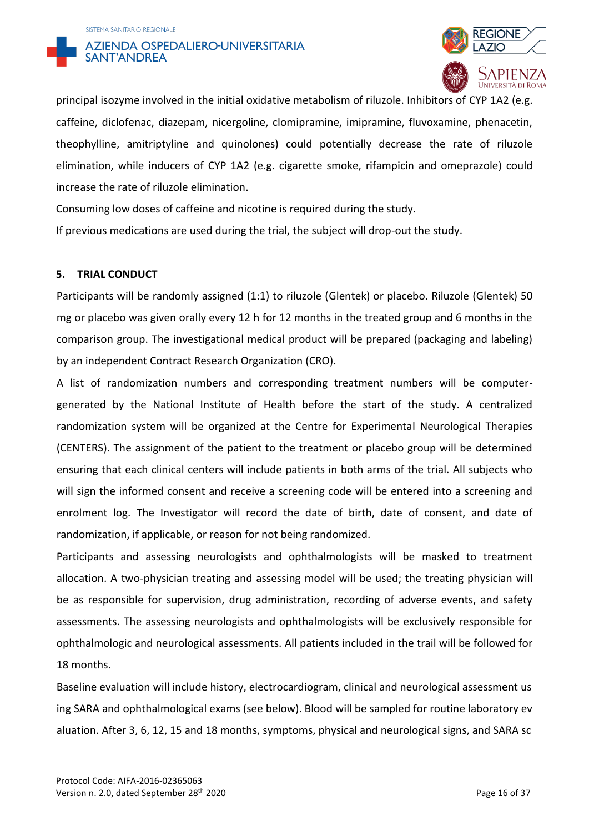



principal isozyme involved in the initial oxidative metabolism of riluzole. Inhibitors of CYP 1A2 (e.g. caffeine, diclofenac, diazepam, nicergoline, clomipramine, imipramine, fluvoxamine, phenacetin, theophylline, amitriptyline and quinolones) could potentially decrease the rate of riluzole elimination, while inducers of CYP 1A2 (e.g. cigarette smoke, rifampicin and omeprazole) could increase the rate of riluzole elimination.

Consuming low doses of caffeine and nicotine is required during the study.

If previous medications are used during the trial, the subject will drop-out the study.

#### **5. TRIAL CONDUCT**

Participants will be randomly assigned (1:1) to riluzole (Glentek) or placebo. Riluzole (Glentek) 50 mg or placebo was given orally every 12 h for 12 months in the treated group and 6 months in the comparison group. The investigational medical product will be prepared (packaging and labeling) by an independent Contract Research Organization (CRO).

A list of randomization numbers and corresponding treatment numbers will be computergenerated by the National Institute of Health before the start of the study. A centralized randomization system will be organized at the Centre for Experimental Neurological Therapies (CENTERS). The assignment of the patient to the treatment or placebo group will be determined ensuring that each clinical centers will include patients in both arms of the trial. All subjects who will sign the informed consent and receive a screening code will be entered into a screening and enrolment log. The Investigator will record the date of birth, date of consent, and date of randomization, if applicable, or reason for not being randomized.

Participants and assessing neurologists and ophthalmologists will be masked to treatment allocation. A two-physician treating and assessing model will be used; the treating physician will be as responsible for supervision, drug administration, recording of adverse events, and safety assessments. The assessing neurologists and ophthalmologists will be exclusively responsible for ophthalmologic and neurological assessments. All patients included in the trail will be followed for 18 months.

Baseline evaluation will include history, electrocardiogram, clinical and neurological assessment us ing SARA and ophthalmological exams (see below). Blood will be sampled for routine laboratory ev aluation. After 3, 6, 12, 15 and 18 months, symptoms, physical and neurological signs, and SARA sc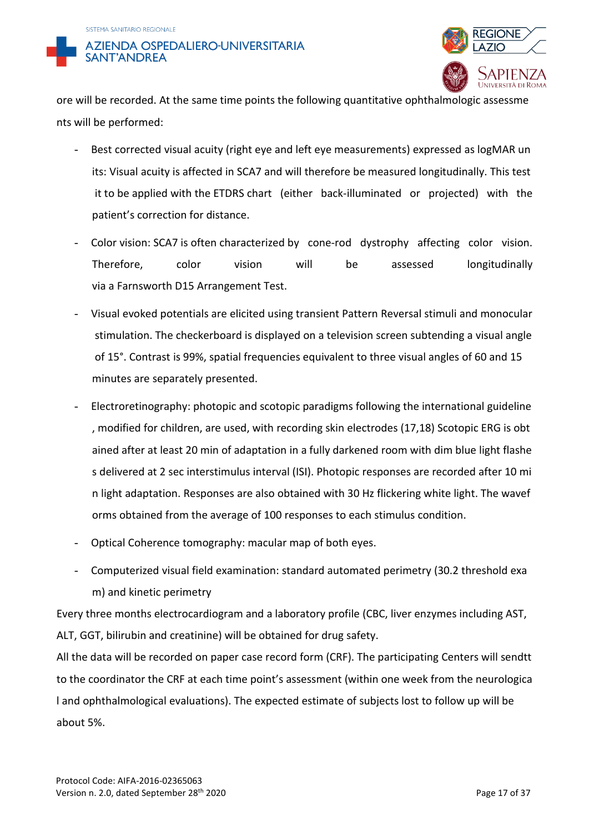



ore will be recorded. At the same time points the following quantitative ophthalmologic assessme nts will be performed:

- Best corrected visual acuity (right eye and left eye measurements) expressed as logMAR un its: Visual acuity is affected in SCA7 and will therefore be measured longitudinally. This test it to be applied with the ETDRS chart (either back-illuminated or projected) with the patient's correction for distance.
- Color vision: SCA7 is often characterized by cone-rod dystrophy affecting color vision. Therefore, color vision will be assessed longitudinally via a Farnsworth D15 Arrangement Test.
- Visual evoked potentials are elicited using transient Pattern Reversal stimuli and monocular stimulation. The checkerboard is displayed on a television screen subtending a visual angle of 15°. Contrast is 99%, spatial frequencies equivalent to three visual angles of 60 and 15 minutes are separately presented.
- Electroretinography: photopic and scotopic paradigms following the international guideline , modified for children, are used, with recording skin electrodes (17,18) Scotopic ERG is obt ained after at least 20 min of adaptation in a fully darkened room with dim blue light flashe s delivered at 2 sec interstimulus interval (ISI). Photopic responses are recorded after 10 mi n light adaptation. Responses are also obtained with 30 Hz flickering white light. The wavef orms obtained from the average of 100 responses to each stimulus condition.
- Optical Coherence tomography: macular map of both eyes.
- Computerized visual field examination: standard automated perimetry (30.2 threshold exa m) and kinetic perimetry

Every three months electrocardiogram and a laboratory profile (CBC, liver enzymes including AST, ALT, GGT, bilirubin and creatinine) will be obtained for drug safety.

All the data will be recorded on paper case record form (CRF). The participating Centers will sendtt to the coordinator the CRF at each time point's assessment (within one week from the neurologica l and ophthalmological evaluations). The expected estimate of subjects lost to follow up will be about 5%.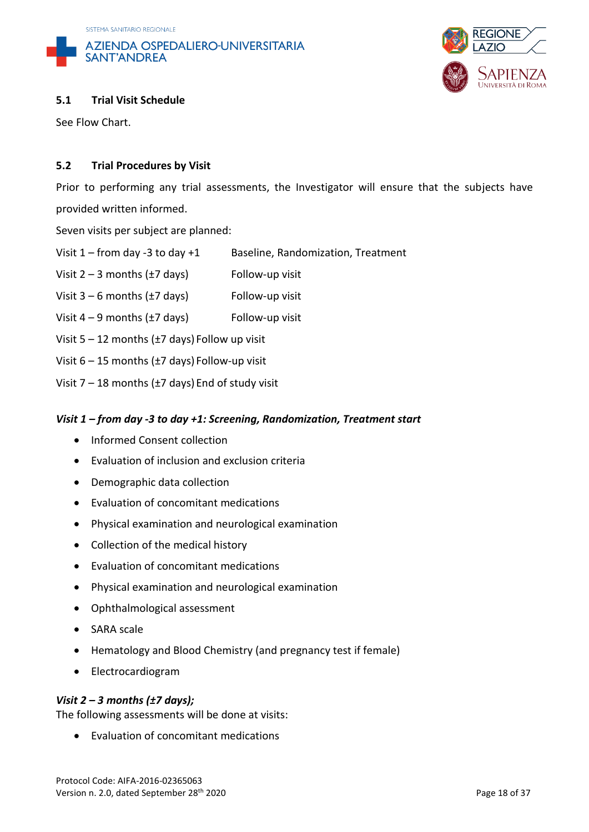



## **5.1 Trial Visit Schedule**

See Flow Chart.

## **5.2 Trial Procedures by Visit**

Prior to performing any trial assessments, the Investigator will ensure that the subjects have provided written informed.

Seven visits per subject are planned:

- Visit  $1$  from day -3 to day +1 Baseline, Randomization, Treatment
- Visit  $2 3$  months ( $\pm 7$  days) Follow-up visit
- Visit  $3 6$  months ( $\pm 7$  days) Follow-up visit
- Visit  $4 9$  months ( $\pm 7$  days) Follow-up visit
- Visit 5 12 months (±7 days) Follow up visit
- Visit 6 15 months (±7 days) Follow-up visit
- Visit  $7 18$  months ( $\pm 7$  days) End of study visit

#### *Visit 1 – from day -3 to day +1: Screening, Randomization, Treatment start*

- Informed Consent collection
- Evaluation of inclusion and exclusion criteria
- Demographic data collection
- Evaluation of concomitant medications
- Physical examination and neurological examination
- Collection of the medical history
- Evaluation of concomitant medications
- Physical examination and neurological examination
- Ophthalmological assessment
- SARA scale
- Hematology and Blood Chemistry (and pregnancy test if female)
- Electrocardiogram

#### *Visit 2 – 3 months (±7 days);*

The following assessments will be done at visits:

• Evaluation of concomitant medications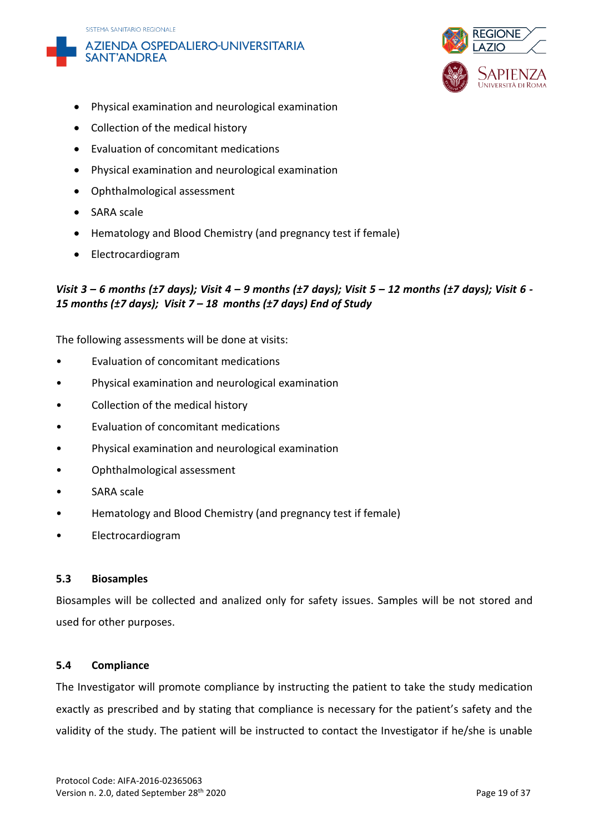





- Physical examination and neurological examination
- Collection of the medical history
- Evaluation of concomitant medications
- Physical examination and neurological examination
- Ophthalmological assessment
- SARA scale
- Hematology and Blood Chemistry (and pregnancy test if female)
- Electrocardiogram

## *Visit 3 – 6 months (±7 days); Visit 4 – 9 months (±7 days); Visit 5 – 12 months (±7 days); Visit 6 - 15 months (±7 days); Visit 7 – 18 months (±7 days) End of Study*

The following assessments will be done at visits:

- Evaluation of concomitant medications
- Physical examination and neurological examination
- Collection of the medical history
- Evaluation of concomitant medications
- Physical examination and neurological examination
- Ophthalmological assessment
- SARA scale
- Hematology and Blood Chemistry (and pregnancy test if female)
- Electrocardiogram

#### **5.3 Biosamples**

Biosamples will be collected and analized only for safety issues. Samples will be not stored and used for other purposes.

#### **5.4 Compliance**

The Investigator will promote compliance by instructing the patient to take the study medication exactly as prescribed and by stating that compliance is necessary for the patient's safety and the validity of the study. The patient will be instructed to contact the Investigator if he/she is unable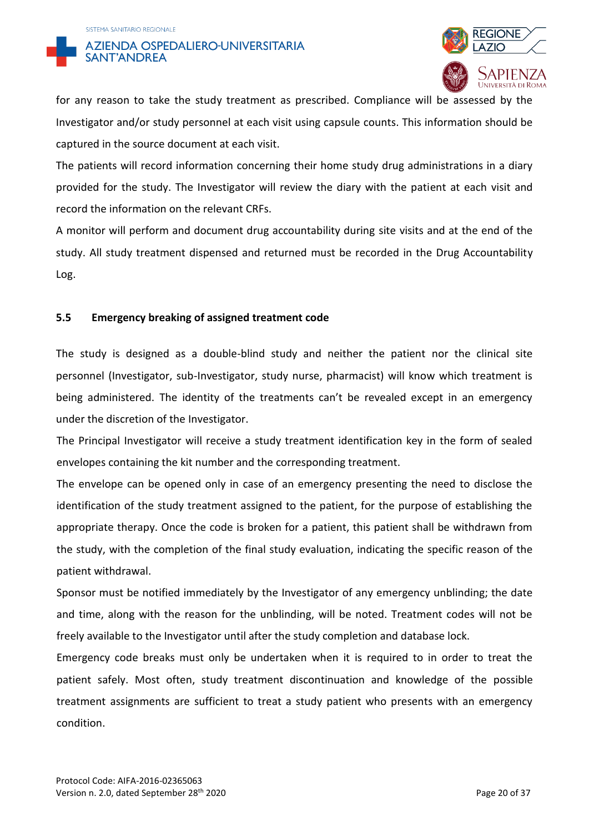



for any reason to take the study treatment as prescribed. Compliance will be assessed by the Investigator and/or study personnel at each visit using capsule counts. This information should be captured in the source document at each visit.

The patients will record information concerning their home study drug administrations in a diary provided for the study. The Investigator will review the diary with the patient at each visit and record the information on the relevant CRFs.

A monitor will perform and document drug accountability during site visits and at the end of the study. All study treatment dispensed and returned must be recorded in the Drug Accountability Log.

## **5.5 Emergency breaking of assigned treatment code**

The study is designed as a double-blind study and neither the patient nor the clinical site personnel (Investigator, sub-Investigator, study nurse, pharmacist) will know which treatment is being administered. The identity of the treatments can't be revealed except in an emergency under the discretion of the Investigator.

The Principal Investigator will receive a study treatment identification key in the form of sealed envelopes containing the kit number and the corresponding treatment.

The envelope can be opened only in case of an emergency presenting the need to disclose the identification of the study treatment assigned to the patient, for the purpose of establishing the appropriate therapy. Once the code is broken for a patient, this patient shall be withdrawn from the study, with the completion of the final study evaluation, indicating the specific reason of the patient withdrawal.

Sponsor must be notified immediately by the Investigator of any emergency unblinding; the date and time, along with the reason for the unblinding, will be noted. Treatment codes will not be freely available to the Investigator until after the study completion and database lock.

Emergency code breaks must only be undertaken when it is required to in order to treat the patient safely. Most often, study treatment discontinuation and knowledge of the possible treatment assignments are sufficient to treat a study patient who presents with an emergency condition.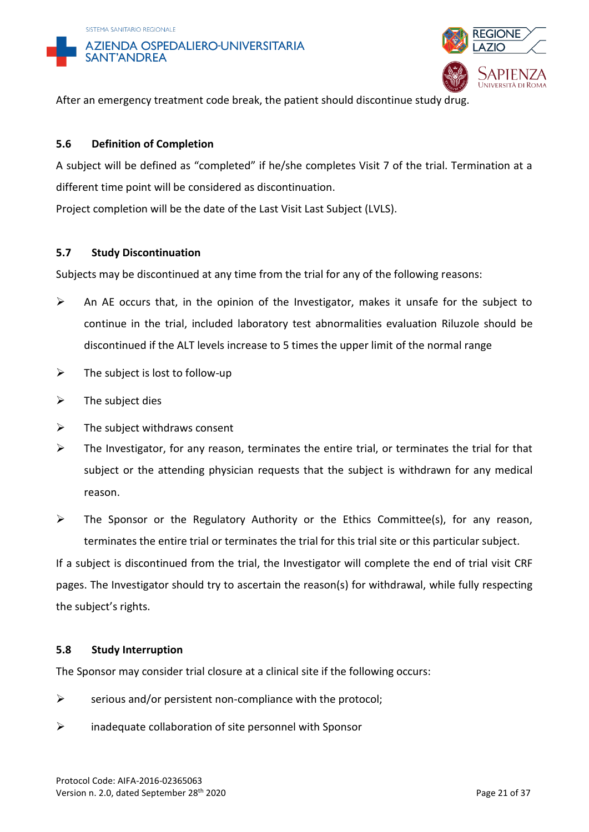



After an emergency treatment code break, the patient should discontinue study drug.

## **5.6 Definition of Completion**

A subject will be defined as "completed" if he/she completes Visit 7 of the trial. Termination at a different time point will be considered as discontinuation.

Project completion will be the date of the Last Visit Last Subject (LVLS).

#### **5.7 Study Discontinuation**

Subjects may be discontinued at any time from the trial for any of the following reasons:

- ➢ An AE occurs that, in the opinion of the Investigator, makes it unsafe for the subject to continue in the trial, included laboratory test abnormalities evaluation Riluzole should be discontinued if the ALT levels increase to 5 times the upper limit of the normal range
- $\triangleright$  The subject is lost to follow-up
- $\triangleright$  The subject dies
- $\triangleright$  The subject withdraws consent
- $\triangleright$  The Investigator, for any reason, terminates the entire trial, or terminates the trial for that subject or the attending physician requests that the subject is withdrawn for any medical reason.
- ➢ The Sponsor or the Regulatory Authority or the Ethics Committee(s), for any reason, terminates the entire trial or terminates the trial for this trial site or this particular subject.

If a subject is discontinued from the trial, the Investigator will complete the end of trial visit CRF pages. The Investigator should try to ascertain the reason(s) for withdrawal, while fully respecting the subject's rights.

#### **5.8 Study Interruption**

The Sponsor may consider trial closure at a clinical site if the following occurs:

- $\triangleright$  serious and/or persistent non-compliance with the protocol;
- $\triangleright$  inadequate collaboration of site personnel with Sponsor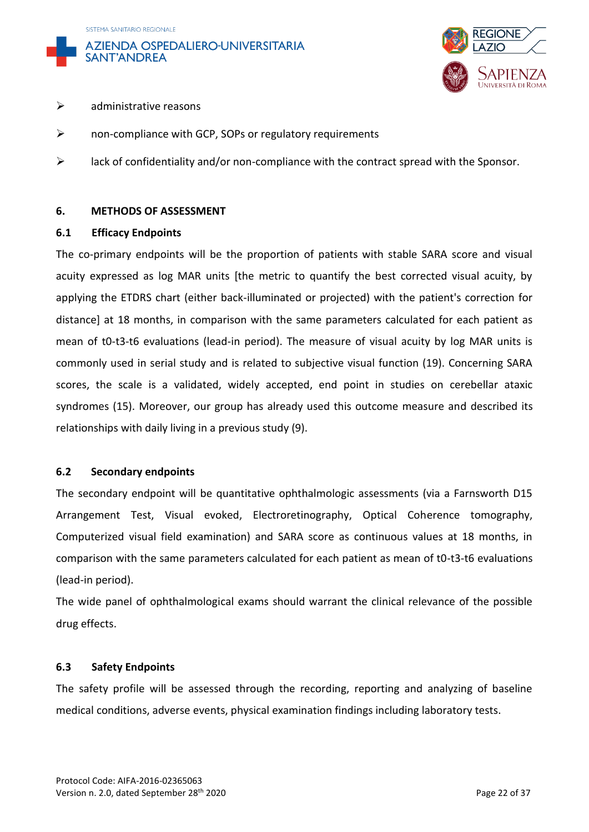





#### $\triangleright$  administrative reasons

- ➢ non-compliance with GCP, SOPs or regulatory requirements
- $\triangleright$  lack of confidentiality and/or non-compliance with the contract spread with the Sponsor.

#### **6. METHODS OF ASSESSMENT**

#### **6.1 Efficacy Endpoints**

The co-primary endpoints will be the proportion of patients with stable SARA score and visual acuity expressed as log MAR units [the metric to quantify the best corrected visual acuity, by applying the ETDRS chart (either back-illuminated or projected) with the patient's correction for distance] at 18 months, in comparison with the same parameters calculated for each patient as mean of t0-t3-t6 evaluations (lead-in period). The measure of visual acuity by log MAR units is commonly used in serial study and is related to subjective visual function (19). Concerning SARA scores, the scale is a validated, widely accepted, end point in studies on cerebellar ataxic syndromes (15). Moreover, our group has already used this outcome measure and described its relationships with daily living in a previous study (9).

#### **6.2 Secondary endpoints**

The secondary endpoint will be quantitative ophthalmologic assessments (via a Farnsworth D15 Arrangement Test, Visual evoked, Electroretinography, Optical Coherence tomography, Computerized visual field examination) and SARA score as continuous values at 18 months, in comparison with the same parameters calculated for each patient as mean of t0-t3-t6 evaluations (lead-in period).

The wide panel of ophthalmological exams should warrant the clinical relevance of the possible drug effects.

#### **6.3 Safety Endpoints**

The safety profile will be assessed through the recording, reporting and analyzing of baseline medical conditions, adverse events, physical examination findings including laboratory tests.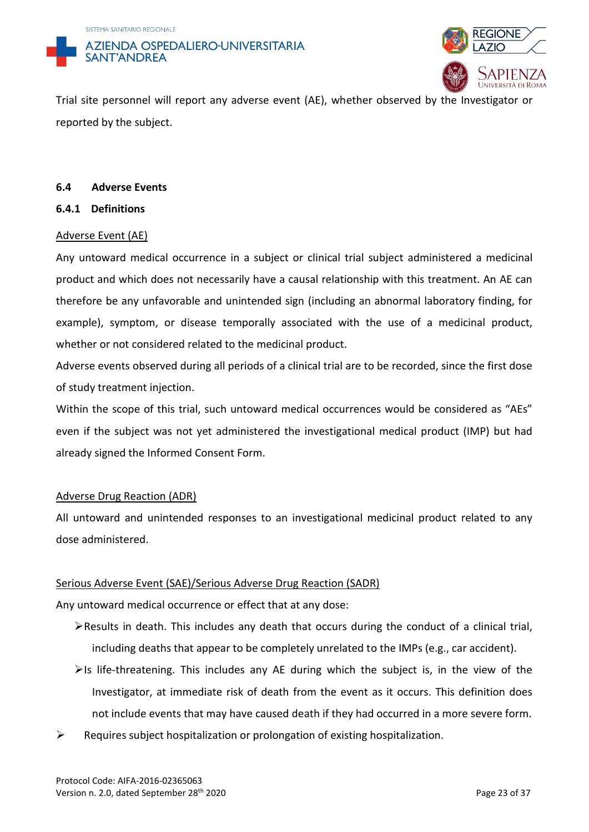



Trial site personnel will report any adverse event (AE), whether observed by the Investigator or reported by the subject.

#### **6.4 Adverse Events**

**6.4.1 Definitions**

#### Adverse Event (AE)

Any untoward medical occurrence in a subject or clinical trial subject administered a medicinal product and which does not necessarily have a causal relationship with this treatment. An AE can therefore be any unfavorable and unintended sign (including an abnormal laboratory finding, for example), symptom, or disease temporally associated with the use of a medicinal product, whether or not considered related to the medicinal product.

Adverse events observed during all periods of a clinical trial are to be recorded, since the first dose of study treatment injection.

Within the scope of this trial, such untoward medical occurrences would be considered as "AEs" even if the subject was not yet administered the investigational medical product (IMP) but had already signed the Informed Consent Form.

#### Adverse Drug Reaction (ADR)

All untoward and unintended responses to an investigational medicinal product related to any dose administered.

#### Serious Adverse Event (SAE)/Serious Adverse Drug Reaction (SADR)

Any untoward medical occurrence or effect that at any dose:

- ➢Results in death. This includes any death that occurs during the conduct of a clinical trial, including deaths that appear to be completely unrelated to the IMPs (e.g., car accident).
- $\triangleright$ Is life-threatening. This includes any AE during which the subject is, in the view of the Investigator, at immediate risk of death from the event as it occurs. This definition does not include events that may have caused death if they had occurred in a more severe form.
- $\triangleright$  Requires subject hospitalization or prolongation of existing hospitalization.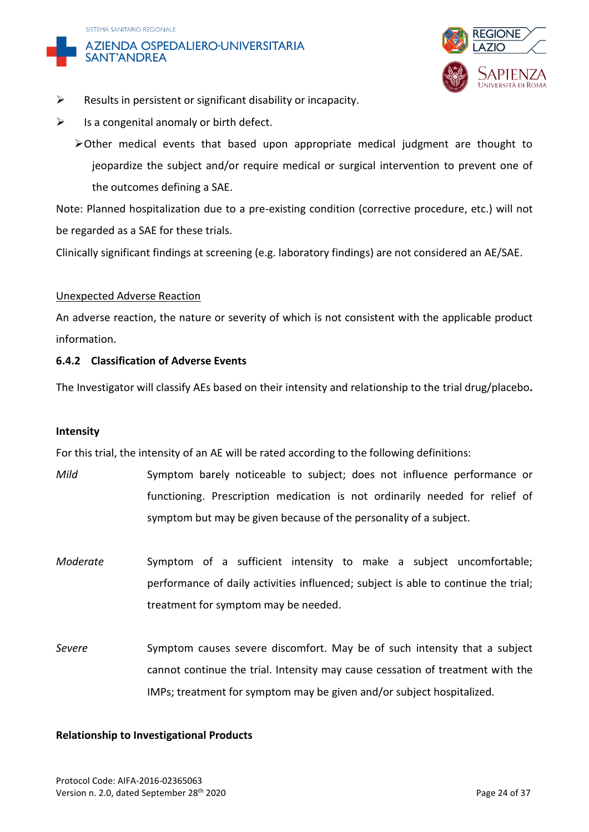



- $\triangleright$  Results in persistent or significant disability or incapacity.
- $\triangleright$  Is a congenital anomaly or birth defect.
	- $\triangleright$  Other medical events that based upon appropriate medical judgment are thought to jeopardize the subject and/or require medical or surgical intervention to prevent one of the outcomes defining a SAE.

Note: Planned hospitalization due to a pre-existing condition (corrective procedure, etc.) will not be regarded as a SAE for these trials.

Clinically significant findings at screening (e.g. laboratory findings) are not considered an AE/SAE.

#### Unexpected Adverse Reaction

An adverse reaction, the nature or severity of which is not consistent with the applicable product information.

#### **6.4.2 Classification of Adverse Events**

The Investigator will classify AEs based on their intensity and relationship to the trial drug/placebo**.**

#### **Intensity**

For this trial, the intensity of an AE will be rated according to the following definitions:

*Mild* Symptom barely noticeable to subject; does not influence performance or functioning. Prescription medication is not ordinarily needed for relief of symptom but may be given because of the personality of a subject.

*Moderate* Symptom of a sufficient intensity to make a subject uncomfortable; performance of daily activities influenced; subject is able to continue the trial; treatment for symptom may be needed.

*Severe* Symptom causes severe discomfort. May be of such intensity that a subject cannot continue the trial. Intensity may cause cessation of treatment with the IMPs; treatment for symptom may be given and/or subject hospitalized.

#### **Relationship to Investigational Products**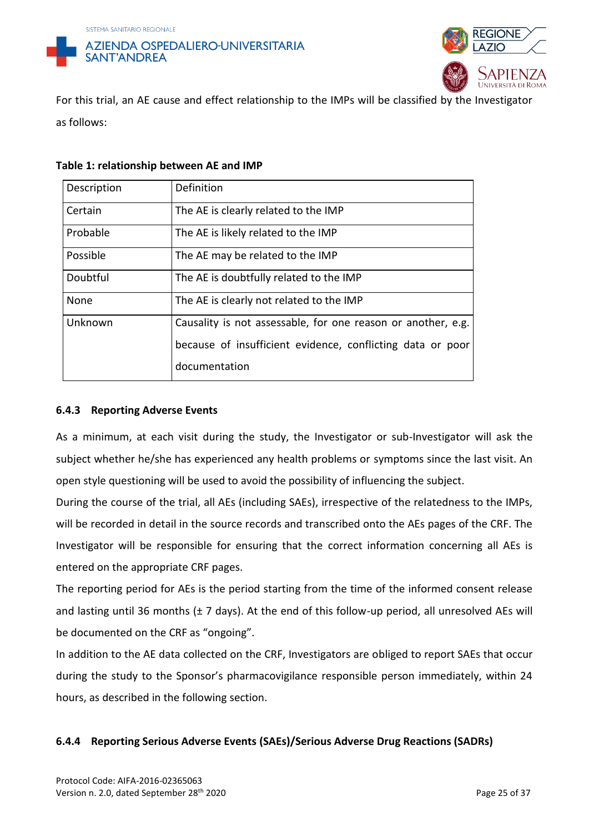



For this trial, an AE cause and effect relationship to the IMPs will be classified by the Investigator as follows:

| Table 1: relationship between AE and IMP |  |  |  |
|------------------------------------------|--|--|--|
|------------------------------------------|--|--|--|

| Description | Definition                                                   |
|-------------|--------------------------------------------------------------|
| Certain     | The AE is clearly related to the IMP                         |
| Probable    | The AE is likely related to the IMP                          |
| Possible    | The AE may be related to the IMP                             |
| Doubtful    | The AE is doubtfully related to the IMP                      |
| None        | The AE is clearly not related to the IMP                     |
| Unknown     | Causality is not assessable, for one reason or another, e.g. |
|             | because of insufficient evidence, conflicting data or poor   |
|             | documentation                                                |

### **6.4.3 Reporting Adverse Events**

As a minimum, at each visit during the study, the Investigator or sub-Investigator will ask the subject whether he/she has experienced any health problems or symptoms since the last visit. An open style questioning will be used to avoid the possibility of influencing the subject.

During the course of the trial, all AEs (including SAEs), irrespective of the relatedness to the IMPs, will be recorded in detail in the source records and transcribed onto the AEs pages of the CRF. The Investigator will be responsible for ensuring that the correct information concerning all AEs is entered on the appropriate CRF pages.

The reporting period for AEs is the period starting from the time of the informed consent release and lasting until 36 months ( $\pm$  7 days). At the end of this follow-up period, all unresolved AEs will be documented on the CRF as "ongoing".

In addition to the AE data collected on the CRF, Investigators are obliged to report SAEs that occur during the study to the Sponsor's pharmacovigilance responsible person immediately, within 24 hours, as described in the following section.

## **6.4.4 Reporting Serious Adverse Events (SAEs)/Serious Adverse Drug Reactions (SADRs)**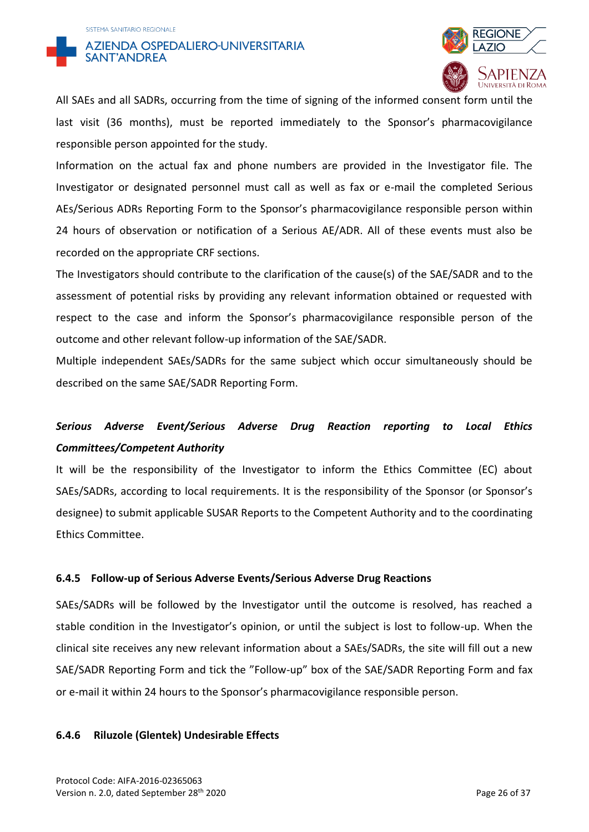



All SAEs and all SADRs, occurring from the time of signing of the informed consent form until the last visit (36 months), must be reported immediately to the Sponsor's pharmacovigilance responsible person appointed for the study.

Information on the actual fax and phone numbers are provided in the Investigator file. The Investigator or designated personnel must call as well as fax or e-mail the completed Serious AEs/Serious ADRs Reporting Form to the Sponsor's pharmacovigilance responsible person within 24 hours of observation or notification of a Serious AE/ADR. All of these events must also be recorded on the appropriate CRF sections.

The Investigators should contribute to the clarification of the cause(s) of the SAE/SADR and to the assessment of potential risks by providing any relevant information obtained or requested with respect to the case and inform the Sponsor's pharmacovigilance responsible person of the outcome and other relevant follow-up information of the SAE/SADR.

Multiple independent SAEs/SADRs for the same subject which occur simultaneously should be described on the same SAE/SADR Reporting Form.

## *Serious Adverse Event/Serious Adverse Drug Reaction reporting to Local Ethics Committees/Competent Authority*

It will be the responsibility of the Investigator to inform the Ethics Committee (EC) about SAEs/SADRs, according to local requirements. It is the responsibility of the Sponsor (or Sponsor's designee) to submit applicable SUSAR Reports to the Competent Authority and to the coordinating Ethics Committee.

## **6.4.5 Follow-up of Serious Adverse Events/Serious Adverse Drug Reactions**

SAEs/SADRs will be followed by the Investigator until the outcome is resolved, has reached a stable condition in the Investigator's opinion, or until the subject is lost to follow-up. When the clinical site receives any new relevant information about a SAEs/SADRs, the site will fill out a new SAE/SADR Reporting Form and tick the "Follow-up" box of the SAE/SADR Reporting Form and fax or e-mail it within 24 hours to the Sponsor's pharmacovigilance responsible person.

#### **6.4.6 Riluzole (Glentek) Undesirable Effects**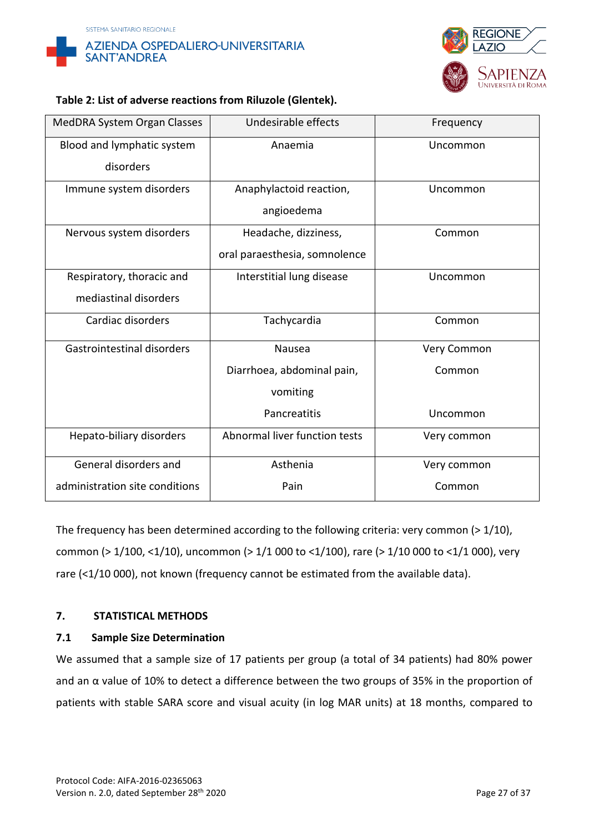



## **Table 2: List of adverse reactions from Riluzole (Glentek).**

| MedDRA System Organ Classes    | Undesirable effects           | Frequency   |
|--------------------------------|-------------------------------|-------------|
| Blood and lymphatic system     | Anaemia                       | Uncommon    |
| disorders                      |                               |             |
| Immune system disorders        | Anaphylactoid reaction,       | Uncommon    |
|                                | angioedema                    |             |
| Nervous system disorders       | Headache, dizziness,          | Common      |
|                                | oral paraesthesia, somnolence |             |
| Respiratory, thoracic and      | Interstitial lung disease     | Uncommon    |
| mediastinal disorders          |                               |             |
| Cardiac disorders              | Tachycardia                   | Common      |
| Gastrointestinal disorders     | Nausea                        | Very Common |
|                                | Diarrhoea, abdominal pain,    | Common      |
|                                | vomiting                      |             |
|                                | Pancreatitis                  | Uncommon    |
| Hepato-biliary disorders       | Abnormal liver function tests | Very common |
| General disorders and          | Asthenia                      | Very common |
| administration site conditions | Pain                          | Common      |

The frequency has been determined according to the following criteria: very common (> 1/10), common (> 1/100, <1/10), uncommon (> 1/1 000 to <1/100), rare (> 1/10 000 to <1/1 000), very rare (<1/10 000), not known (frequency cannot be estimated from the available data).

## **7. STATISTICAL METHODS**

#### **7.1 Sample Size Determination**

We assumed that a sample size of 17 patients per group (a total of 34 patients) had 80% power and an α value of 10% to detect a difference between the two groups of 35% in the proportion of patients with stable SARA score and visual acuity (in log MAR units) at 18 months, compared to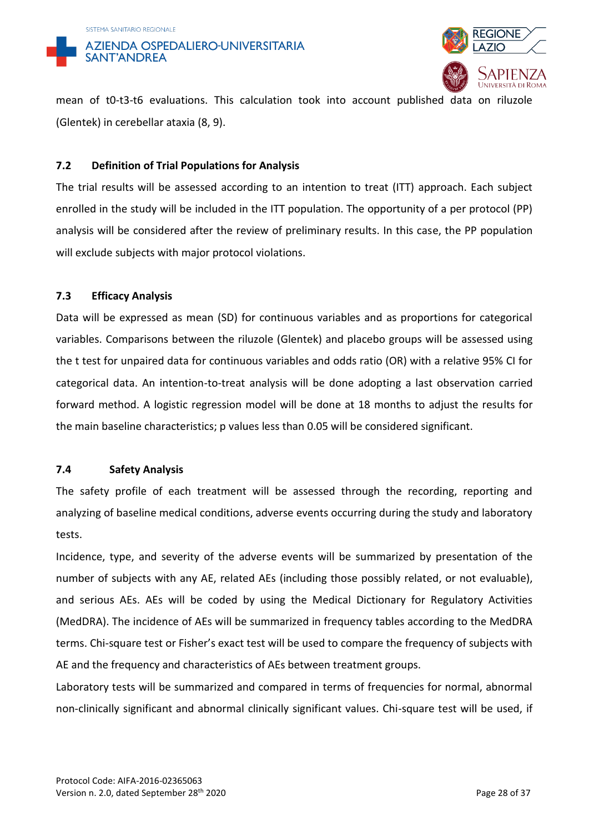



mean of t0-t3-t6 evaluations. This calculation took into account published data on riluzole (Glentek) in cerebellar ataxia (8, 9).

## **7.2 Definition of Trial Populations for Analysis**

The trial results will be assessed according to an intention to treat (ITT) approach. Each subject enrolled in the study will be included in the ITT population. The opportunity of a per protocol (PP) analysis will be considered after the review of preliminary results. In this case, the PP population will exclude subjects with major protocol violations.

## **7.3 Efficacy Analysis**

Data will be expressed as mean (SD) for continuous variables and as proportions for categorical variables. Comparisons between the riluzole (Glentek) and placebo groups will be assessed using the t test for unpaired data for continuous variables and odds ratio (OR) with a relative 95% CI for categorical data. An intention-to-treat analysis will be done adopting a last observation carried forward method. A logistic regression model will be done at 18 months to adjust the results for the main baseline characteristics; p values less than 0.05 will be considered significant.

#### **7.4 Safety Analysis**

The safety profile of each treatment will be assessed through the recording, reporting and analyzing of baseline medical conditions, adverse events occurring during the study and laboratory tests.

Incidence, type, and severity of the adverse events will be summarized by presentation of the number of subjects with any AE, related AEs (including those possibly related, or not evaluable), and serious AEs. AEs will be coded by using the Medical Dictionary for Regulatory Activities (MedDRA). The incidence of AEs will be summarized in frequency tables according to the MedDRA terms. Chi-square test or Fisher's exact test will be used to compare the frequency of subjects with AE and the frequency and characteristics of AEs between treatment groups.

Laboratory tests will be summarized and compared in terms of frequencies for normal, abnormal non-clinically significant and abnormal clinically significant values. Chi-square test will be used, if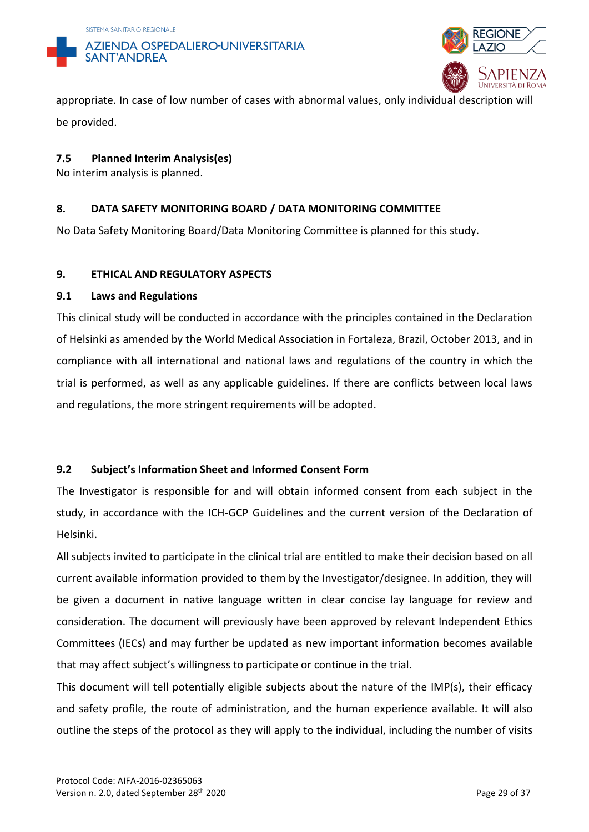



appropriate. In case of low number of cases with abnormal values, only individual description will be provided.

## **7.5 Planned Interim Analysis(es)**

No interim analysis is planned.

## **8. DATA SAFETY MONITORING BOARD / DATA MONITORING COMMITTEE**

No Data Safety Monitoring Board/Data Monitoring Committee is planned for this study.

## **9. ETHICAL AND REGULATORY ASPECTS**

## **9.1 Laws and Regulations**

This clinical study will be conducted in accordance with the principles contained in the Declaration of Helsinki as amended by the World Medical Association in Fortaleza, Brazil, October 2013, and in compliance with all international and national laws and regulations of the country in which the trial is performed, as well as any applicable guidelines. If there are conflicts between local laws and regulations, the more stringent requirements will be adopted.

## **9.2 Subject's Information Sheet and Informed Consent Form**

The Investigator is responsible for and will obtain informed consent from each subject in the study, in accordance with the ICH-GCP Guidelines and the current version of the Declaration of Helsinki.

All subjects invited to participate in the clinical trial are entitled to make their decision based on all current available information provided to them by the Investigator/designee. In addition, they will be given a document in native language written in clear concise lay language for review and consideration. The document will previously have been approved by relevant Independent Ethics Committees (IECs) and may further be updated as new important information becomes available that may affect subject's willingness to participate or continue in the trial.

This document will tell potentially eligible subjects about the nature of the IMP(s), their efficacy and safety profile, the route of administration, and the human experience available. It will also outline the steps of the protocol as they will apply to the individual, including the number of visits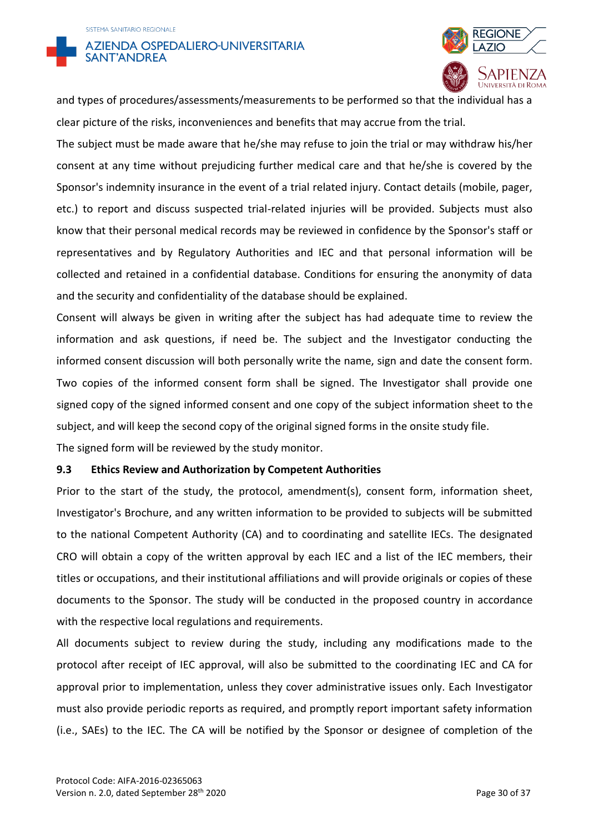



and types of procedures/assessments/measurements to be performed so that the individual has a clear picture of the risks, inconveniences and benefits that may accrue from the trial.

The subject must be made aware that he/she may refuse to join the trial or may withdraw his/her consent at any time without prejudicing further medical care and that he/she is covered by the Sponsor's indemnity insurance in the event of a trial related injury. Contact details (mobile, pager, etc.) to report and discuss suspected trial-related injuries will be provided. Subjects must also know that their personal medical records may be reviewed in confidence by the Sponsor's staff or representatives and by Regulatory Authorities and IEC and that personal information will be collected and retained in a confidential database. Conditions for ensuring the anonymity of data and the security and confidentiality of the database should be explained.

Consent will always be given in writing after the subject has had adequate time to review the information and ask questions, if need be. The subject and the Investigator conducting the informed consent discussion will both personally write the name, sign and date the consent form. Two copies of the informed consent form shall be signed. The Investigator shall provide one signed copy of the signed informed consent and one copy of the subject information sheet to the subject, and will keep the second copy of the original signed forms in the onsite study file.

The signed form will be reviewed by the study monitor.

#### **9.3 Ethics Review and Authorization by Competent Authorities**

Prior to the start of the study, the protocol, amendment(s), consent form, information sheet, Investigator's Brochure, and any written information to be provided to subjects will be submitted to the national Competent Authority (CA) and to coordinating and satellite IECs. The designated CRO will obtain a copy of the written approval by each IEC and a list of the IEC members, their titles or occupations, and their institutional affiliations and will provide originals or copies of these documents to the Sponsor. The study will be conducted in the proposed country in accordance with the respective local regulations and requirements.

All documents subject to review during the study, including any modifications made to the protocol after receipt of IEC approval, will also be submitted to the coordinating IEC and CA for approval prior to implementation, unless they cover administrative issues only. Each Investigator must also provide periodic reports as required, and promptly report important safety information (i.e., SAEs) to the IEC. The CA will be notified by the Sponsor or designee of completion of the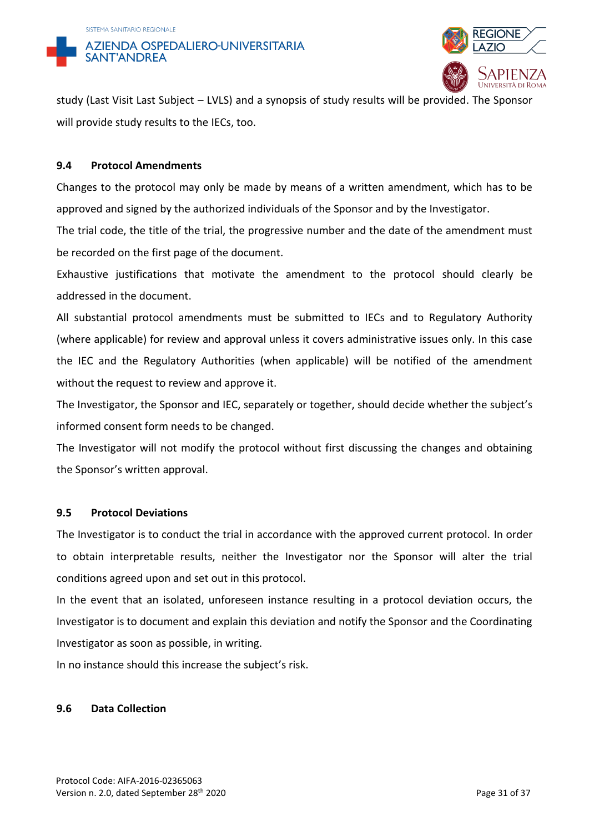



study (Last Visit Last Subject – LVLS) and a synopsis of study results will be provided. The Sponsor will provide study results to the IECs, too.

### **9.4 Protocol Amendments**

Changes to the protocol may only be made by means of a written amendment, which has to be approved and signed by the authorized individuals of the Sponsor and by the Investigator.

The trial code, the title of the trial, the progressive number and the date of the amendment must be recorded on the first page of the document.

Exhaustive justifications that motivate the amendment to the protocol should clearly be addressed in the document.

All substantial protocol amendments must be submitted to IECs and to Regulatory Authority (where applicable) for review and approval unless it covers administrative issues only. In this case the IEC and the Regulatory Authorities (when applicable) will be notified of the amendment without the request to review and approve it.

The Investigator, the Sponsor and IEC, separately or together, should decide whether the subject's informed consent form needs to be changed.

The Investigator will not modify the protocol without first discussing the changes and obtaining the Sponsor's written approval.

#### **9.5 Protocol Deviations**

The Investigator is to conduct the trial in accordance with the approved current protocol. In order to obtain interpretable results, neither the Investigator nor the Sponsor will alter the trial conditions agreed upon and set out in this protocol.

In the event that an isolated, unforeseen instance resulting in a protocol deviation occurs, the Investigator is to document and explain this deviation and notify the Sponsor and the Coordinating Investigator as soon as possible, in writing.

In no instance should this increase the subject's risk.

## **9.6 Data Collection**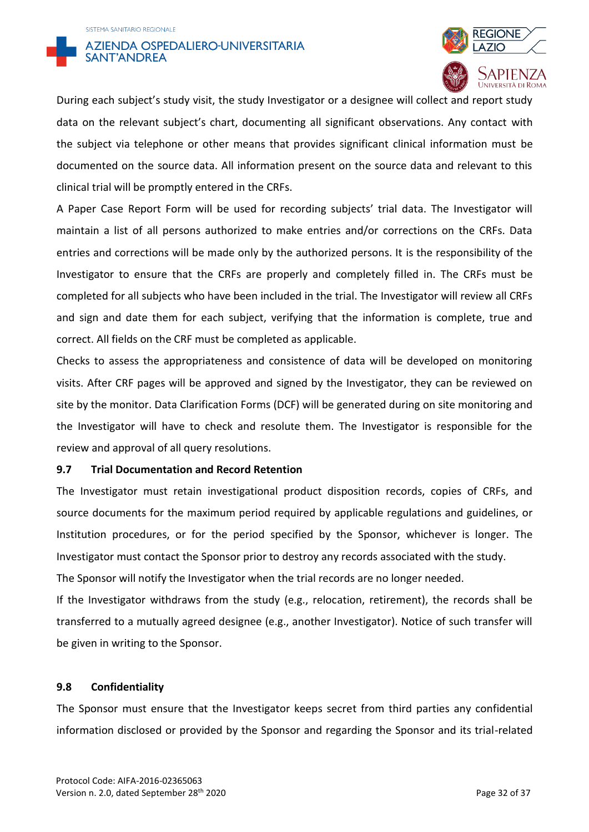



During each subject's study visit, the study Investigator or a designee will collect and report study data on the relevant subject's chart, documenting all significant observations. Any contact with the subject via telephone or other means that provides significant clinical information must be documented on the source data. All information present on the source data and relevant to this clinical trial will be promptly entered in the CRFs.

A Paper Case Report Form will be used for recording subjects' trial data. The Investigator will maintain a list of all persons authorized to make entries and/or corrections on the CRFs. Data entries and corrections will be made only by the authorized persons. It is the responsibility of the Investigator to ensure that the CRFs are properly and completely filled in. The CRFs must be completed for all subjects who have been included in the trial. The Investigator will review all CRFs and sign and date them for each subject, verifying that the information is complete, true and correct. All fields on the CRF must be completed as applicable.

Checks to assess the appropriateness and consistence of data will be developed on monitoring visits. After CRF pages will be approved and signed by the Investigator, they can be reviewed on site by the monitor. Data Clarification Forms (DCF) will be generated during on site monitoring and the Investigator will have to check and resolute them. The Investigator is responsible for the review and approval of all query resolutions.

#### **9.7 Trial Documentation and Record Retention**

The Investigator must retain investigational product disposition records, copies of CRFs, and source documents for the maximum period required by applicable regulations and guidelines, or Institution procedures, or for the period specified by the Sponsor, whichever is longer. The Investigator must contact the Sponsor prior to destroy any records associated with the study.

The Sponsor will notify the Investigator when the trial records are no longer needed.

If the Investigator withdraws from the study (e.g., relocation, retirement), the records shall be transferred to a mutually agreed designee (e.g., another Investigator). Notice of such transfer will be given in writing to the Sponsor.

#### **9.8 Confidentiality**

The Sponsor must ensure that the Investigator keeps secret from third parties any confidential information disclosed or provided by the Sponsor and regarding the Sponsor and its trial-related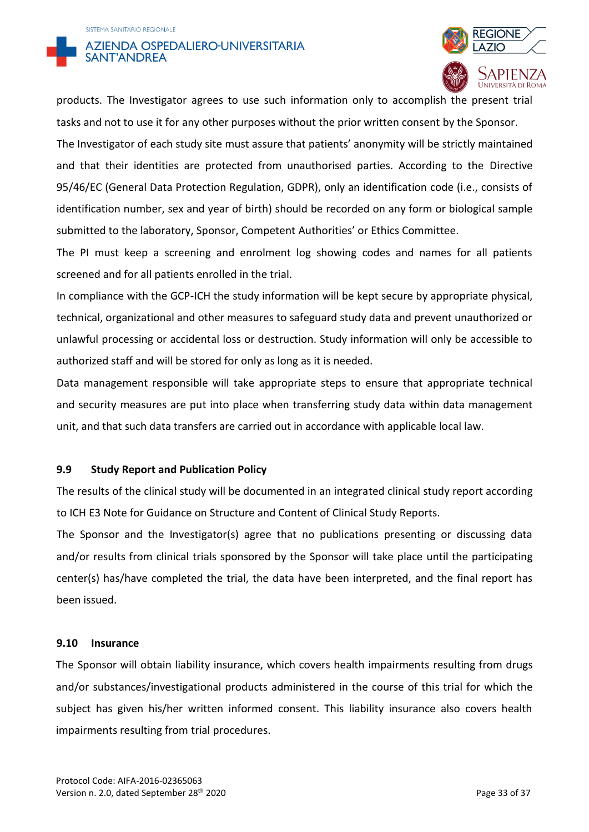



products. The Investigator agrees to use such information only to accomplish the present trial tasks and not to use it for any other purposes without the prior written consent by the Sponsor. The Investigator of each study site must assure that patients' anonymity will be strictly maintained and that their identities are protected from unauthorised parties. According to the Directive 95/46/EC (General Data Protection Regulation, GDPR), only an identification code (i.e., consists of identification number, sex and year of birth) should be recorded on any form or biological sample submitted to the laboratory, Sponsor, Competent Authorities' or Ethics Committee.

The PI must keep a screening and enrolment log showing codes and names for all patients screened and for all patients enrolled in the trial.

In compliance with the GCP-ICH the study information will be kept secure by appropriate physical, technical, organizational and other measures to safeguard study data and prevent unauthorized or unlawful processing or accidental loss or destruction. Study information will only be accessible to authorized staff and will be stored for only as long as it is needed.

Data management responsible will take appropriate steps to ensure that appropriate technical and security measures are put into place when transferring study data within data management unit, and that such data transfers are carried out in accordance with applicable local law.

## **9.9 Study Report and Publication Policy**

The results of the clinical study will be documented in an integrated clinical study report according to ICH E3 Note for Guidance on Structure and Content of Clinical Study Reports.

The Sponsor and the Investigator(s) agree that no publications presenting or discussing data and/or results from clinical trials sponsored by the Sponsor will take place until the participating center(s) has/have completed the trial, the data have been interpreted, and the final report has been issued.

#### **9.10 Insurance**

The Sponsor will obtain liability insurance, which covers health impairments resulting from drugs and/or substances/investigational products administered in the course of this trial for which the subject has given his/her written informed consent. This liability insurance also covers health impairments resulting from trial procedures.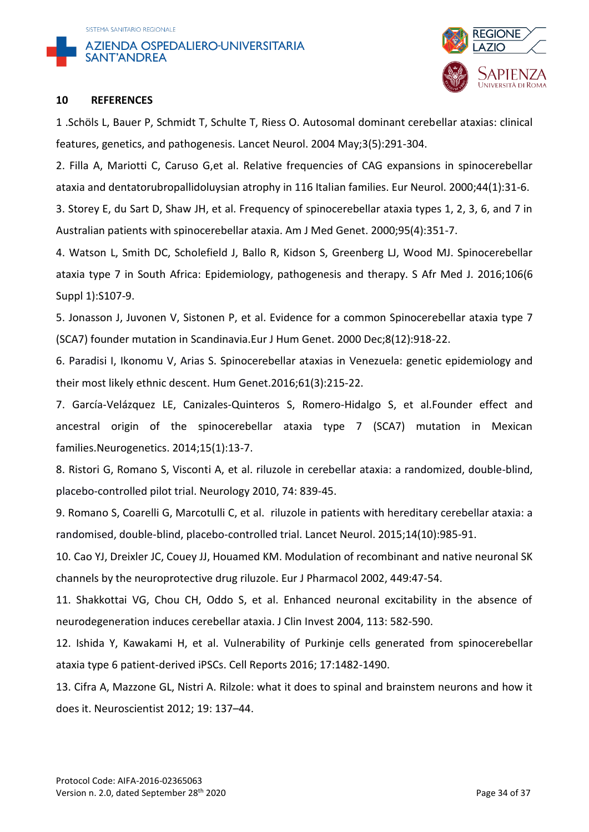



#### **10 REFERENCES**

1 .Schöls L, Bauer P, Schmidt T, Schulte T, Riess O. Autosomal dominant cerebellar ataxias: clinical features, genetics, and pathogenesis. Lancet Neurol. 2004 May;3(5):291-304.

2. Filla A, Mariotti C, Caruso G,et al. Relative frequencies of CAG expansions in spinocerebellar ataxia and dentatorubropallidoluysian atrophy in 116 Italian families. Eur Neurol. 2000;44(1):31-6. 3. Storey E, du Sart D, Shaw JH, et al. Frequency of spinocerebellar ataxia types 1, 2, 3, 6, and 7 in Australian patients with spinocerebellar ataxia. Am J Med Genet. 2000;95(4):351-7.

4. Watson L, Smith DC, Scholefield J, Ballo R, Kidson S, Greenberg LJ, Wood MJ. Spinocerebellar ataxia type 7 in South Africa: Epidemiology, pathogenesis and therapy. S Afr Med J. 2016;106(6 Suppl 1):S107-9.

5. Jonasson J, Juvonen V, Sistonen P, et al. Evidence for a common Spinocerebellar ataxia type 7 (SCA7) founder mutation in Scandinavia.Eur J Hum Genet. 2000 Dec;8(12):918-22.

6. [Paradisi I,](https://www.ncbi.nlm.nih.gov/pubmed/?term=Paradisi%20I%5BAuthor%5D&cauthor=true&cauthor_uid=26538302) [Ikonomu V,](https://www.ncbi.nlm.nih.gov/pubmed/?term=Ikonomu%20V%5BAuthor%5D&cauthor=true&cauthor_uid=26538302) [Arias S.](https://www.ncbi.nlm.nih.gov/pubmed/?term=Arias%20S%5BAuthor%5D&cauthor=true&cauthor_uid=26538302) Spinocerebellar ataxias in Venezuela: genetic epidemiology and their most likely ethnic descent. [Hum Genet.2](https://www.ncbi.nlm.nih.gov/pubmed/?term=SCA7+Venezuela)016;61(3):215-22.

7. García-Velázquez LE, Canizales-Quinteros S, Romero-Hidalgo S, et al.Founder effect and ancestral origin of the spinocerebellar ataxia type 7 (SCA7) mutation in Mexican families.Neurogenetics. 2014;15(1):13-7.

8. Ristori G, Romano S, Visconti A, et al. [riluzole in cerebellar ataxia: a randomized, double-blind,](http://www.ncbi.nlm.nih.gov/pubmed/20211908)  [placebo-controlled pilot trial.](http://www.ncbi.nlm.nih.gov/pubmed/20211908) Neurology 2010, 74: 839-45.

9. Romano S, Coarelli G, Marcotulli C, et al. [riluzole in patients with hereditary cerebellar ataxia: a](https://www.ncbi.nlm.nih.gov/pubmed/26321318)  [randomised, double-blind, placebo-controlled trial.](https://www.ncbi.nlm.nih.gov/pubmed/26321318) Lancet Neurol. 2015;14(10):985-91.

10. Cao YJ, Dreixler JC, Couey JJ, Houamed KM. Modulation of recombinant and native neuronal SK channels by the neuroprotective drug riluzole. Eur J Pharmacol 2002, 449:47-54.

11. Shakkottai VG, Chou CH, Oddo S, et al. Enhanced neuronal excitability in the absence of neurodegeneration induces cerebellar ataxia. J Clin Invest 2004, 113: 582-590.

12. Ishida Y, Kawakami H, et al. Vulnerability of Purkinje cells generated from spinocerebellar ataxia type 6 patient-derived iPSCs. Cell Reports 2016; 17:1482-1490.

13. Cifra A, Mazzone GL, Nistri A. Rilzole: what it does to spinal and brainstem neurons and how it does it. Neuroscientist 2012; 19: 137–44.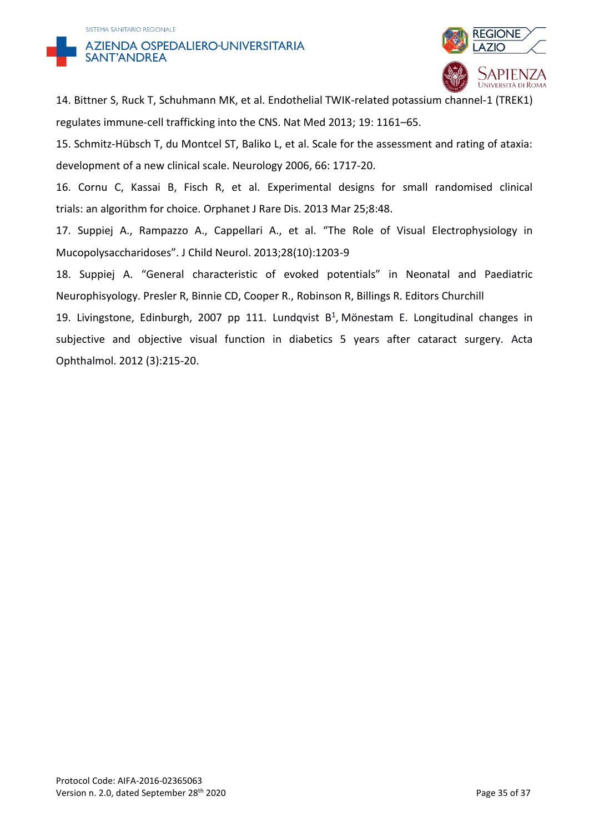



14. Bittner S, Ruck T, Schuhmann MK, et al. Endothelial TWIK-related potassium channel-1 (TREK1) regulates immune-cell trafficking into the CNS. Nat Med 2013; 19: 1161–65.

15. Schmitz-Hübsch T, du Montcel ST, Baliko L, et al. Scale for the assessment and rating of ataxia: development of a new clinical scale. Neurology 2006, 66: 1717-20.

16. Cornu C, Kassai B, Fisch R, et al. Experimental designs for small randomised clinical trials: an algorithm for choice. Orphanet J Rare Dis. 2013 Mar 25;8:48.

17. Suppiej A., Rampazzo A., Cappellari A., et al. "The Role of Visual Electrophysiology in Mucopolysaccharidoses". J Child Neurol. 2013;28(10):1203-9

18. Suppiej A. "General characteristic of evoked potentials" in Neonatal and Paediatric Neurophisyology. Presler R, Binnie CD, Cooper R., Robinson R, Billings R. Editors Churchill

19. Livingstone, Edinburgh, 2007 pp 111. Lundqvist  $B<sup>1</sup>$ , [Mönestam E.](https://www.ncbi.nlm.nih.gov/pubmed/?term=Mönestam%20E%5BAuthor%5D&cauthor=true&cauthor_uid=20491694) Longitudinal changes in subjective and objective visual function in diabetics 5 years after cataract surgery. [Acta](https://www.ncbi.nlm.nih.gov/pubmed/20491694)  [Ophthalmol.](https://www.ncbi.nlm.nih.gov/pubmed/20491694) 2012 (3):215-20.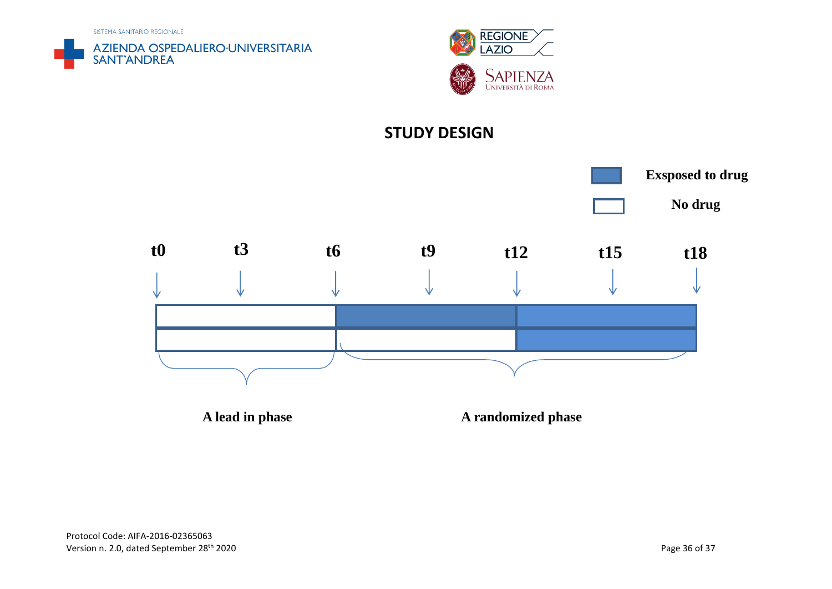